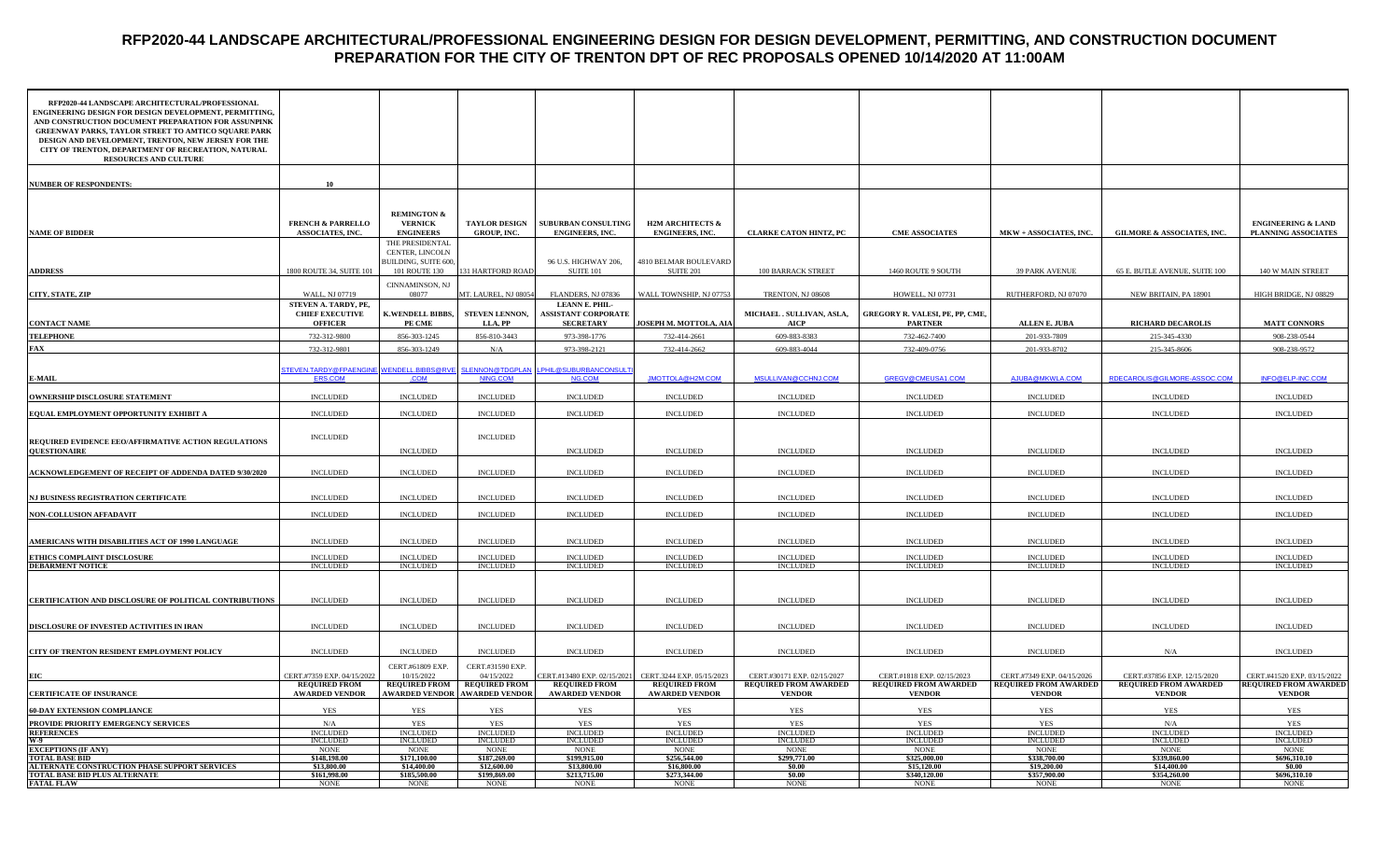# **RFP2020-44 LANDSCAPE ARCHITECTURAL/PROFESSIONAL ENGINEERING DESIGN FOR DESIGN DEVELOPMENT, PERMITTING, AND CONSTRUCTION DOCUMENT PREPARATION FOR THE CITY OF TRENTON DPT OF REC PROPOSALS OPENED 10/14/2020 AT 11:00AM**

| RFP2020-44 LANDSCAPE ARCHITECTURAL/PROFESSIONAL<br>ENGINEERING DESIGN FOR DESIGN DEVELOPMENT, PERMITTING,<br>AND CONSTRUCTION DOCUMENT PREPARATION FOR ASSUNPINK<br><b>GREENWAY PARKS, TAYLOR STREET TO AMTICO SQUARE PARK</b><br>DESIGN AND DEVELOPMENT, TRENTON, NEW JERSEY FOR THE<br>CITY OF TRENTON, DEPARTMENT OF RECREATION, NATURAL<br><b>RESOURCES AND CULTURE</b> |                                                                  |                                                              |                                                    |                                                                         |                                                       |                                                             |                                                            |                                                            |                                                             |                                                             |
|-----------------------------------------------------------------------------------------------------------------------------------------------------------------------------------------------------------------------------------------------------------------------------------------------------------------------------------------------------------------------------|------------------------------------------------------------------|--------------------------------------------------------------|----------------------------------------------------|-------------------------------------------------------------------------|-------------------------------------------------------|-------------------------------------------------------------|------------------------------------------------------------|------------------------------------------------------------|-------------------------------------------------------------|-------------------------------------------------------------|
| <b>NUMBER OF RESPONDENTS:</b>                                                                                                                                                                                                                                                                                                                                               | 10                                                               |                                                              |                                                    |                                                                         |                                                       |                                                             |                                                            |                                                            |                                                             |                                                             |
|                                                                                                                                                                                                                                                                                                                                                                             |                                                                  |                                                              |                                                    |                                                                         |                                                       |                                                             |                                                            |                                                            |                                                             |                                                             |
| <b>NAME OF BIDDER</b>                                                                                                                                                                                                                                                                                                                                                       | <b>FRENCH &amp; PARRELLO</b><br>ASSOCIATES, INC.                 | <b>REMINGTON &amp;</b><br><b>VERNICK</b><br><b>ENGINEERS</b> | <b>TAYLOR DESIGN</b><br><b>GROUP, INC.</b>         | SUBURBAN CONSULTING<br><b>ENGINEERS, INC.</b>                           | <b>H2M ARCHITECTS &amp;</b><br><b>ENGINEERS, INC.</b> | <b>CLARKE CATON HINTZ, PC</b>                               | <b>CME ASSOCIATES</b>                                      | MKW + ASSOCIATES, INC.                                     | <b>GILMORE &amp; ASSOCIATES, INC.</b>                       | <b>ENGINEERING &amp; LAND</b><br>PLANNING ASSOCIATES        |
|                                                                                                                                                                                                                                                                                                                                                                             |                                                                  | THE PRESIDENTAL<br>CENTER, LINCOLN<br>BUILDING, SUITE 600,   |                                                    | 96 U.S. HIGHWAY 206,                                                    | 4810 BELMAR BOULEVARD                                 |                                                             |                                                            |                                                            |                                                             |                                                             |
| <b>ADDRESS</b>                                                                                                                                                                                                                                                                                                                                                              | 1800 ROUTE 34, SUITE 101                                         | 101 ROUTE 130<br>CINNAMINSON, NJ                             | 31 HARTFORD ROAD                                   | <b>SUITE 101</b>                                                        | <b>SUITE 201</b>                                      | <b>100 BARRACK STREET</b>                                   | 1460 ROUTE 9 SOUTH                                         | <b>39 PARK AVENUE</b>                                      | 65 E. BUTLE AVENUE, SUITE 100                               | 140 W MAIN STREET                                           |
| CITY, STATE, ZIP                                                                                                                                                                                                                                                                                                                                                            | WALL, NJ 07719                                                   | 08077                                                        | MT. LAUREL, NJ 08054                               | FLANDERS, NJ 07836                                                      | WALL TOWNSHIP, NJ 07753                               | TRENTON, NJ 08608                                           | HOWELL, NJ 07731                                           | RUTHERFORD, NJ 07070                                       | NEW BRITAIN, PA 18901                                       | HIGH BRIDGE, NJ 08829                                       |
| <b>CONTACT NAME</b>                                                                                                                                                                                                                                                                                                                                                         | STEVEN A. TARDY, PE,<br><b>CHIEF EXECUTIVE</b><br><b>OFFICER</b> | K.WENDELL BIBBS,<br>PE CME                                   | <b>STEVEN LENNON,</b><br>LLA, PP                   | <b>LEANN E. PHIL-</b><br><b>ASSISTANT CORPORATE</b><br><b>SECRETARY</b> | JOSEPH M. MOTTOLA, AIA                                | MICHAEL . SULLIVAN, ASLA,<br>AICP                           | GREGORY R. VALESI, PE, PP, CME,<br><b>PARTNER</b>          | <b>ALLEN E. JUBA</b>                                       | <b>RICHARD DECAROLIS</b>                                    | <b>MATT CONNORS</b>                                         |
| <b>TELEPHONE</b>                                                                                                                                                                                                                                                                                                                                                            | 732-312-9800                                                     | 856-303-1245                                                 | 856-810-3443                                       | 973-398-1776                                                            | 732-414-2661                                          | 609-883-8383                                                | 732-462-7400                                               | 201-933-7809                                               | 215-345-4330                                                | 908-238-0544                                                |
| FAX                                                                                                                                                                                                                                                                                                                                                                         | 732-312-9801                                                     | 856-303-1249                                                 | N/A                                                | 973-398-2121                                                            | 732-414-2662                                          | 609-883-4044                                                | 732-409-0756                                               | 201-933-8702                                               | 215-345-8606                                                | 908-238-9572                                                |
| <b>E-MAIL</b>                                                                                                                                                                                                                                                                                                                                                               | <u>STEVEN.TARDY@FPAENGINE</u><br><b>ERS.COM</b>                  | WENDELL.BIBBS@RVE<br>.COM                                    | NING.COM                                           | <u>SLENNON@TDGPLAN_LPHIL@SUBURBANCONSULT</u><br>NG.COM                  | <b>IMOTTOLA@H2M.COM</b>                               | MSULLIVAN@CCHNJ.COM                                         | GREGV@CMEUSA1.COM                                          | AJUBA@MKWLA.COM                                            | RDECAROLIS@GILMORE-ASSOC.COM                                | INFO@ELP-INC.COM                                            |
| OWNERSHIP DISCLOSURE STATEMENT                                                                                                                                                                                                                                                                                                                                              | <b>INCLUDED</b>                                                  | <b>INCLUDED</b>                                              | <b>INCLUDED</b>                                    | <b>INCLUDED</b>                                                         | <b>INCLUDED</b>                                       | <b>INCLUDED</b>                                             | <b>INCLUDED</b>                                            | <b>INCLUDED</b>                                            | <b>INCLUDED</b>                                             | <b>INCLUDED</b>                                             |
| EQUAL EMPLOYMENT OPPORTUNITY EXHIBIT A                                                                                                                                                                                                                                                                                                                                      | <b>INCLUDED</b>                                                  | <b>INCLUDED</b>                                              | <b>INCLUDED</b>                                    | <b>INCLUDED</b>                                                         | <b>INCLUDED</b>                                       | <b>INCLUDED</b>                                             | <b>INCLUDED</b>                                            | <b>INCLUDED</b>                                            | <b>INCLUDED</b>                                             | <b>INCLUDED</b>                                             |
| REQUIRED EVIDENCE EEO/AFFIRMATIVE ACTION REGULATIONS<br><b>OUESTIONAIRE</b>                                                                                                                                                                                                                                                                                                 | <b>INCLUDED</b>                                                  | $\sf INCLUDED$                                               | <b>INCLUDED</b>                                    | <b>INCLUDED</b>                                                         | <b>INCLUDED</b>                                       | <b>INCLUDED</b>                                             | <b>INCLUDED</b>                                            | $\sf INCLUDED$                                             | <b>INCLUDED</b>                                             | <b>INCLUDED</b>                                             |
| ACKNOWLEDGEMENT OF RECEIPT OF ADDENDA DATED 9/30/2020                                                                                                                                                                                                                                                                                                                       | <b>INCLUDED</b>                                                  | <b>INCLUDED</b>                                              | <b>INCLUDED</b>                                    | <b>INCLUDED</b>                                                         | <b>INCLUDED</b>                                       | <b>INCLUDED</b>                                             | <b>INCLUDED</b>                                            | <b>INCLUDED</b>                                            | <b>INCLUDED</b>                                             | <b>INCLUDED</b>                                             |
| NJ BUSINESS REGISTRATION CERTIFICATE                                                                                                                                                                                                                                                                                                                                        | <b>INCLUDED</b>                                                  | <b>INCLUDED</b>                                              | <b>INCLUDED</b>                                    | <b>INCLUDED</b>                                                         | <b>INCLUDED</b>                                       | <b>INCLUDED</b>                                             | <b>INCLUDED</b>                                            | <b>INCLUDED</b>                                            | <b>INCLUDED</b>                                             | <b>INCLUDED</b>                                             |
| <b>NON-COLLUSION AFFADAVIT</b>                                                                                                                                                                                                                                                                                                                                              | <b>INCLUDED</b>                                                  | <b>INCLUDED</b>                                              | <b>INCLUDED</b>                                    | <b>INCLUDED</b>                                                         | <b>INCLUDED</b>                                       | <b>INCLUDED</b>                                             | <b>INCLUDED</b>                                            | <b>INCLUDED</b>                                            | <b>INCLUDED</b>                                             | <b>INCLUDED</b>                                             |
| AMERICANS WITH DISABILITIES ACT OF 1990 LANGUAGE                                                                                                                                                                                                                                                                                                                            | <b>INCLUDED</b>                                                  | <b>INCLUDED</b>                                              | <b>INCLUDED</b>                                    | <b>INCLUDED</b>                                                         | <b>INCLUDED</b>                                       | <b>INCLUDED</b>                                             | <b>INCLUDED</b>                                            | <b>INCLUDED</b>                                            | <b>INCLUDED</b>                                             | <b>INCLUDED</b>                                             |
| ETHICS COMPLAINT DISCLOSURE                                                                                                                                                                                                                                                                                                                                                 | <b>INCLUDED</b>                                                  | <b>INCLUDED</b>                                              | <b>INCLUDED</b>                                    | <b>INCLUDED</b>                                                         | <b>INCLUDED</b>                                       | <b>INCLUDED</b>                                             | <b>INCLUDED</b>                                            | <b>INCLUDED</b>                                            | <b>INCLUDED</b>                                             | <b>INCLUDED</b>                                             |
| <b>DEBARMENT NOTICE</b>                                                                                                                                                                                                                                                                                                                                                     | <b>INCLUDED</b>                                                  | <b>INCLUDED</b>                                              | <b>INCLUDED</b>                                    | <b>INCLUDED</b>                                                         | <b>INCLUDED</b>                                       | <b>INCLUDED</b>                                             | <b>INCLUDED</b>                                            | <b>INCLUDED</b>                                            | <b>INCLUDED</b>                                             | <b>INCLUDED</b>                                             |
| CERTIFICATION AND DISCLOSURE OF POLITICAL CONTRIBUTIONS                                                                                                                                                                                                                                                                                                                     | <b>INCLUDED</b>                                                  | <b>INCLUDED</b>                                              | <b>INCLUDED</b>                                    | <b>INCLUDED</b>                                                         | <b>INCLUDED</b>                                       | <b>INCLUDED</b>                                             | <b>INCLUDED</b>                                            | <b>INCLUDED</b>                                            | <b>INCLUDED</b>                                             | <b>INCLUDED</b>                                             |
| DISCLOSURE OF INVESTED ACTIVITIES IN IRAN                                                                                                                                                                                                                                                                                                                                   | <b>INCLUDED</b>                                                  | <b>INCLUDED</b>                                              | <b>INCLUDED</b>                                    | <b>INCLUDED</b>                                                         | <b>INCLUDED</b>                                       | <b>INCLUDED</b>                                             | <b>INCLUDED</b>                                            | <b>INCLUDED</b>                                            | <b>INCLUDED</b>                                             | <b>INCLUDED</b>                                             |
| CITY OF TRENTON RESIDENT EMPLOYMENT POLICY                                                                                                                                                                                                                                                                                                                                  | <b>INCLUDED</b>                                                  | <b>INCLUDED</b>                                              | <b>INCLUDED</b>                                    | <b>INCLUDED</b>                                                         | <b>INCLUDED</b>                                       | <b>INCLUDED</b>                                             | <b>INCLUDED</b>                                            | <b>INCLUDED</b>                                            | N/A                                                         | <b>INCLUDED</b>                                             |
|                                                                                                                                                                                                                                                                                                                                                                             |                                                                  | CERT.#61809 EXP.                                             | CERT.#31590 EXP.                                   |                                                                         |                                                       |                                                             |                                                            |                                                            |                                                             |                                                             |
|                                                                                                                                                                                                                                                                                                                                                                             | CERT.#7359 EXP. 04/15/2022<br><b>REQUIRED FROM</b>               | 10/15/2022                                                   | 04/15/2022<br><b>REQUIRED FROM   REQUIRED FROM</b> | CERT.#13480 EXP. 02/15/2021<br><b>REQUIRED FROM</b>                     | CERT.3244 EXP. 05/15/2023<br><b>REQUIRED FROM</b>     | CERT.#30171 EXP. 02/15/2027<br><b>REQUIRED FROM AWARDED</b> | CERT.#1818 EXP. 02/15/2023<br><b>REQUIRED FROM AWARDED</b> | CERT.#7349 EXP. 04/15/2026<br><b>REQUIRED FROM AWARDED</b> | CERT.#37856 EXP. 12/15/2020<br><b>REQUIRED FROM AWARDED</b> | CERT.#41520 EXP. 03/15/2022<br><b>REQUIRED FROM AWARDED</b> |
| <b>CERTIFICATE OF INSURANCE</b>                                                                                                                                                                                                                                                                                                                                             | <b>AWARDED VENDOR</b>                                            |                                                              | <b>AWARDED VENDOR AWARDED VENDOR</b>               | <b>AWARDED VENDOR</b>                                                   | <b>AWARDED VENDOR</b>                                 | <b>VENDOR</b>                                               | <b>VENDOR</b>                                              | <b>VENDOR</b>                                              | <b>VENDOR</b>                                               | <b>VENDOR</b>                                               |
| <b>60-DAY EXTENSION COMPLIANCE</b>                                                                                                                                                                                                                                                                                                                                          | YES                                                              | <b>YES</b>                                                   | <b>YES</b>                                         | YES                                                                     | YES                                                   | <b>YES</b>                                                  | YES                                                        | YES                                                        | YES                                                         | YES                                                         |
| PROVIDE PRIORITY EMERGENCY SERVICES<br><b>REFERENCES</b>                                                                                                                                                                                                                                                                                                                    | N/A<br><b>INCLUDED</b>                                           | <b>YES</b><br><b>INCLUDED</b>                                | <b>YES</b><br><b>INCLUDED</b>                      | <b>YES</b><br><b>INCLUDED</b>                                           | <b>YES</b><br><b>INCLUDED</b>                         | <b>YES</b><br><b>INCLUDED</b>                               | YES<br><b>INCLUDED</b>                                     | <b>YES</b><br><b>INCLUDED</b>                              | N/A<br><b>INCLUDED</b>                                      | <b>YES</b><br><b>INCLUDED</b>                               |
| W.9                                                                                                                                                                                                                                                                                                                                                                         | <b>INCLUDED</b>                                                  | <b>INCLUDED</b>                                              | <b>INCLUDED</b>                                    | <b>INCLUDED</b>                                                         | <b>INCLUDED</b>                                       | <b>INCLUDED</b>                                             | <b>INCLUDED</b>                                            | <b>INCLUDED</b>                                            | <b>INCLUDED</b>                                             | <b>INCLUDED</b>                                             |
| <b>EXCEPTIONS (IF ANY)</b><br><b>TOTAL BASE BID</b>                                                                                                                                                                                                                                                                                                                         | <b>NONE</b><br>\$148,198.00                                      | <b>NONE</b><br>\$171,100.00                                  | <b>NONE</b><br>\$187,269.00                        | <b>NONE</b><br>\$199,915.00                                             | <b>NONE</b><br>\$256,544.00                           | <b>NONE</b><br>\$299,771.00                                 | <b>NONE</b><br>\$325,000.00                                | <b>NONE</b><br>\$338,700.00                                | <b>NONE</b><br>\$339,860.00                                 | <b>NONE</b><br>\$696,310.10                                 |
| ALTERNATE CONSTRUCTION PHASE SUPPORT SERVICES                                                                                                                                                                                                                                                                                                                               | \$13,800.00                                                      | \$14,400.00                                                  | \$12,600.00                                        | \$13,800.00                                                             | \$16,800.00                                           | \$0.00                                                      | \$15,120.00                                                | \$19,200.00                                                | \$14,400.00                                                 | \$0.00                                                      |
| <b>TOTAL BASE BID PLUS ALTERNATE</b><br><b>FATAL FLAW</b>                                                                                                                                                                                                                                                                                                                   | \$161,998.00<br><b>NONE</b>                                      | \$185,500.00<br><b>NONE</b>                                  | \$199,869.00<br><b>NONE</b>                        | \$213,715.00<br><b>NONE</b>                                             | \$273,344.00<br><b>NONE</b>                           | \$0.00<br><b>NONE</b>                                       | \$340,120.00<br><b>NONE</b>                                | \$357,900.00<br><b>NONE</b>                                | \$354,260.00<br><b>NONE</b>                                 | \$696,310.10<br><b>NONE</b>                                 |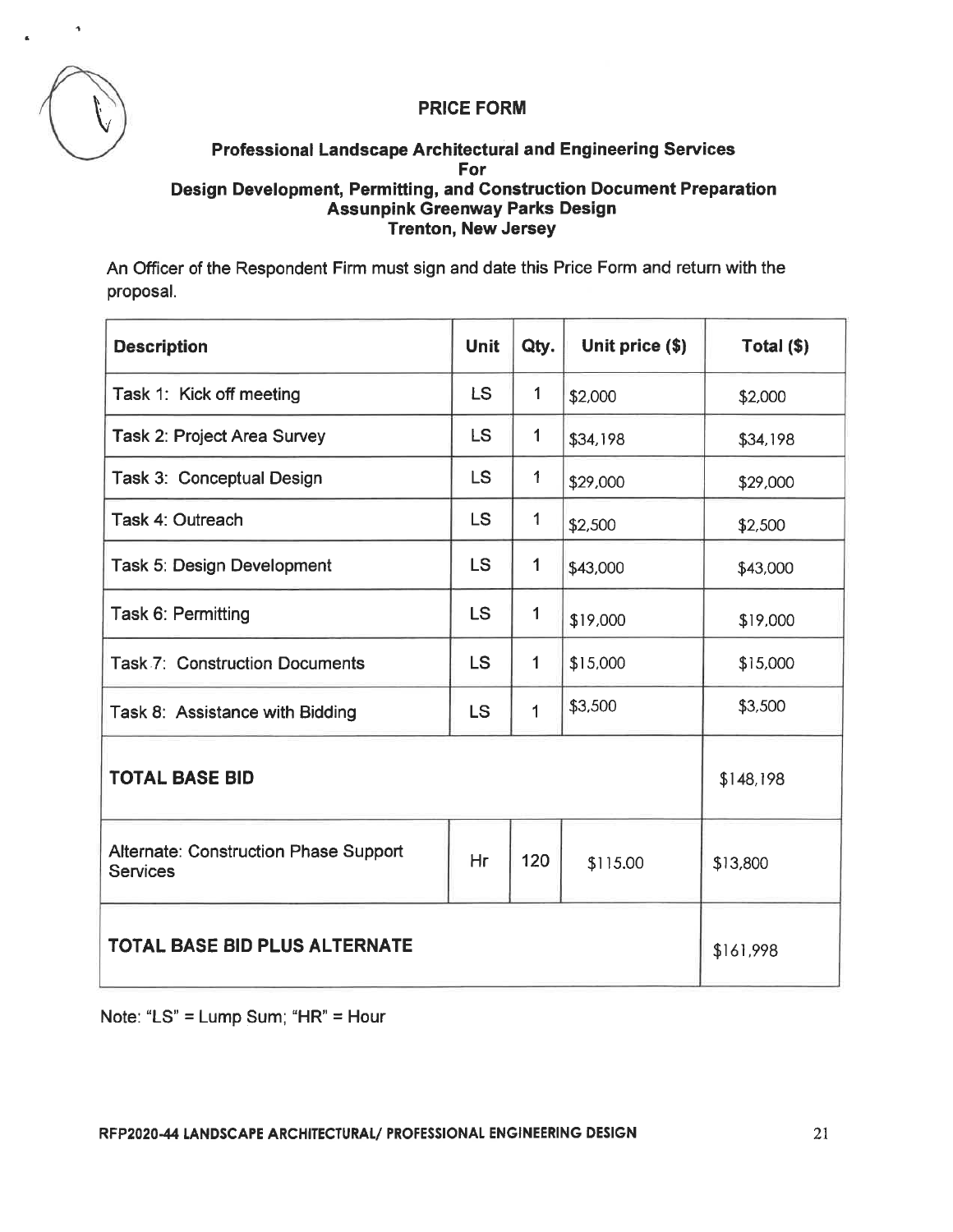



# **Professional Landscape Architectural and Engineering Services** For Design Development, Permitting, and Construction Document Preparation **Assunpink Greenway Parks Design** Trenton, New Jersey

An Officer of the Respondent Firm must sign and date this Price Form and return with the proposal.

| <b>Description</b>                                              | <b>Unit</b> | Qty.         | Unit price (\$) | Total (\$) |
|-----------------------------------------------------------------|-------------|--------------|-----------------|------------|
| Task 1: Kick off meeting                                        | <b>LS</b>   | $\mathbf{1}$ | \$2,000         | \$2,000    |
| Task 2: Project Area Survey                                     | <b>LS</b>   | $\mathbf 1$  | \$34,198        | \$34,198   |
| Task 3: Conceptual Design                                       | <b>LS</b>   | 1            | \$29,000        | \$29,000   |
| Task 4: Outreach                                                | <b>LS</b>   | $\mathbf{1}$ | \$2,500         | \$2,500    |
| Task 5: Design Development                                      | <b>LS</b>   | $\mathbf{1}$ | \$43,000        | \$43,000   |
| Task 6: Permitting                                              | <b>LS</b>   | $\mathbf{1}$ | \$19,000        | \$19,000   |
| <b>Task 7: Construction Documents</b>                           | <b>LS</b>   | $\mathbf 1$  | \$15,000        | \$15,000   |
| Task 8: Assistance with Bidding                                 | <b>LS</b>   | $\mathbf{1}$ | \$3,500         | \$3,500    |
| <b>TOTAL BASE BID</b>                                           | \$148,198   |              |                 |            |
| <b>Alternate: Construction Phase Support</b><br><b>Services</b> | Hr          | 120          | \$115.00        | \$13,800   |
| <b>TOTAL BASE BID PLUS ALTERNATE</b>                            | \$161,998   |              |                 |            |

Note: "LS" = Lump Sum; "HR" = Hour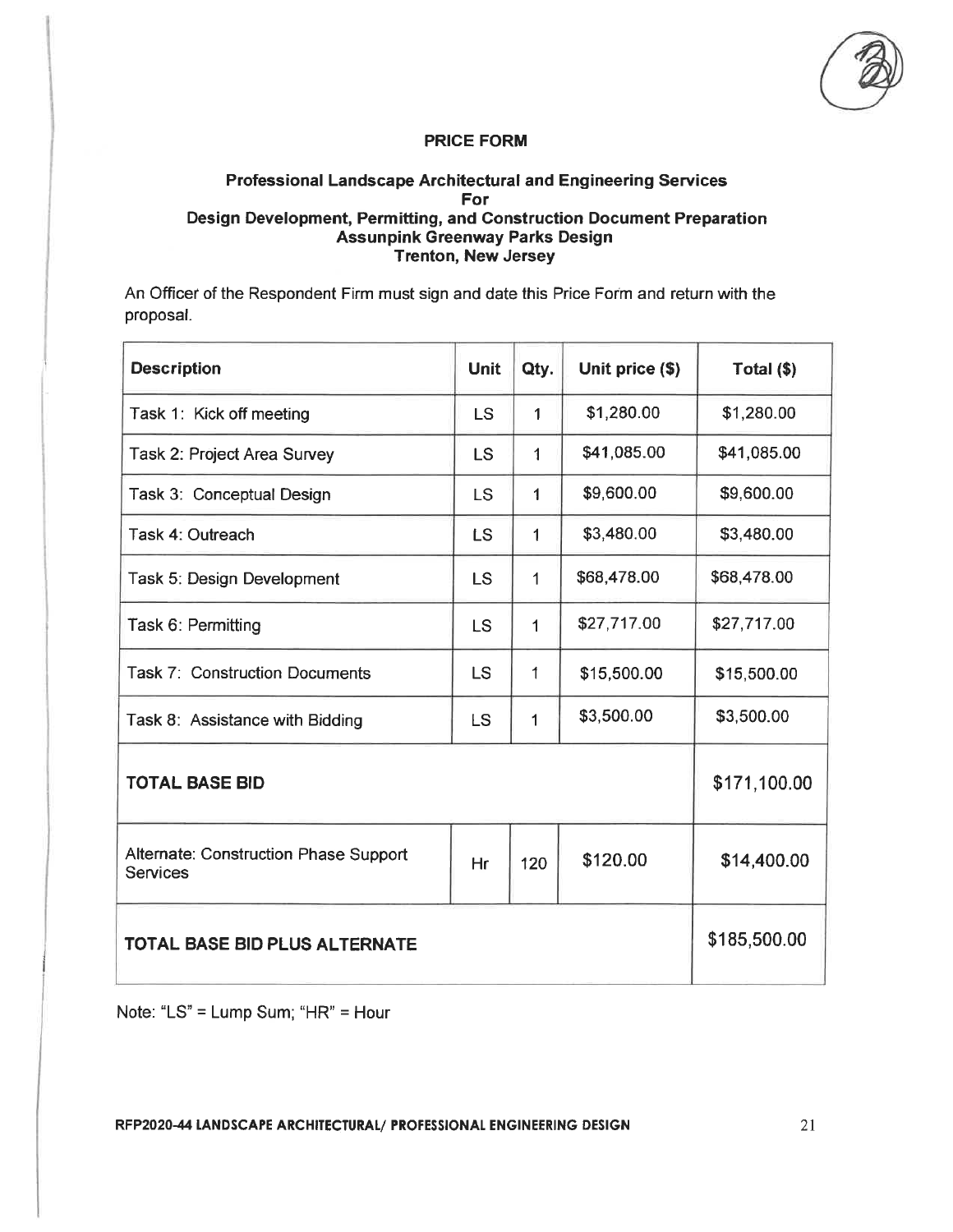## **Professional Landscape Architectural and Engineering Services** For Design Development, Permitting, and Construction Document Preparation **Assunpink Greenway Parks Design Trenton, New Jersey**

An Officer of the Respondent Firm must sign and date this Price Form and return with the proposal.

| <b>Description</b>                                       | <b>Unit</b> | Qty.         | Unit price (\$) | Total $($ math) |
|----------------------------------------------------------|-------------|--------------|-----------------|-----------------|
| Task 1: Kick off meeting                                 | <b>LS</b>   | $\mathbf{1}$ | \$1,280.00      | \$1,280.00      |
| Task 2: Project Area Survey                              | <b>LS</b>   | 1            | \$41,085.00     | \$41,085.00     |
| Task 3: Conceptual Design                                | <b>LS</b>   | 1            | \$9,600.00      | \$9,600.00      |
| Task 4: Outreach                                         | LS          | $\mathbf{1}$ | \$3,480.00      | \$3,480.00      |
| Task 5: Design Development                               | LS          | 1            | \$68,478.00     | \$68,478.00     |
| Task 6: Permitting                                       | <b>LS</b>   | 1            | \$27,717.00     | \$27,717.00     |
| <b>Task 7: Construction Documents</b>                    | LS          | 1            | \$15,500.00     | \$15,500.00     |
| Task 8: Assistance with Bidding                          | <b>LS</b>   | 1            | \$3,500.00      | \$3,500.00      |
| <b>TOTAL BASE BID</b>                                    |             |              |                 | \$171,100.00    |
| Alternate: Construction Phase Support<br><b>Services</b> | Hr          | 120          | \$120.00        | \$14,400.00     |
| <b>TOTAL BASE BID PLUS ALTERNATE</b>                     |             |              |                 | \$185,500.00    |

Note: "LS" = Lump Sum; "HR" = Hour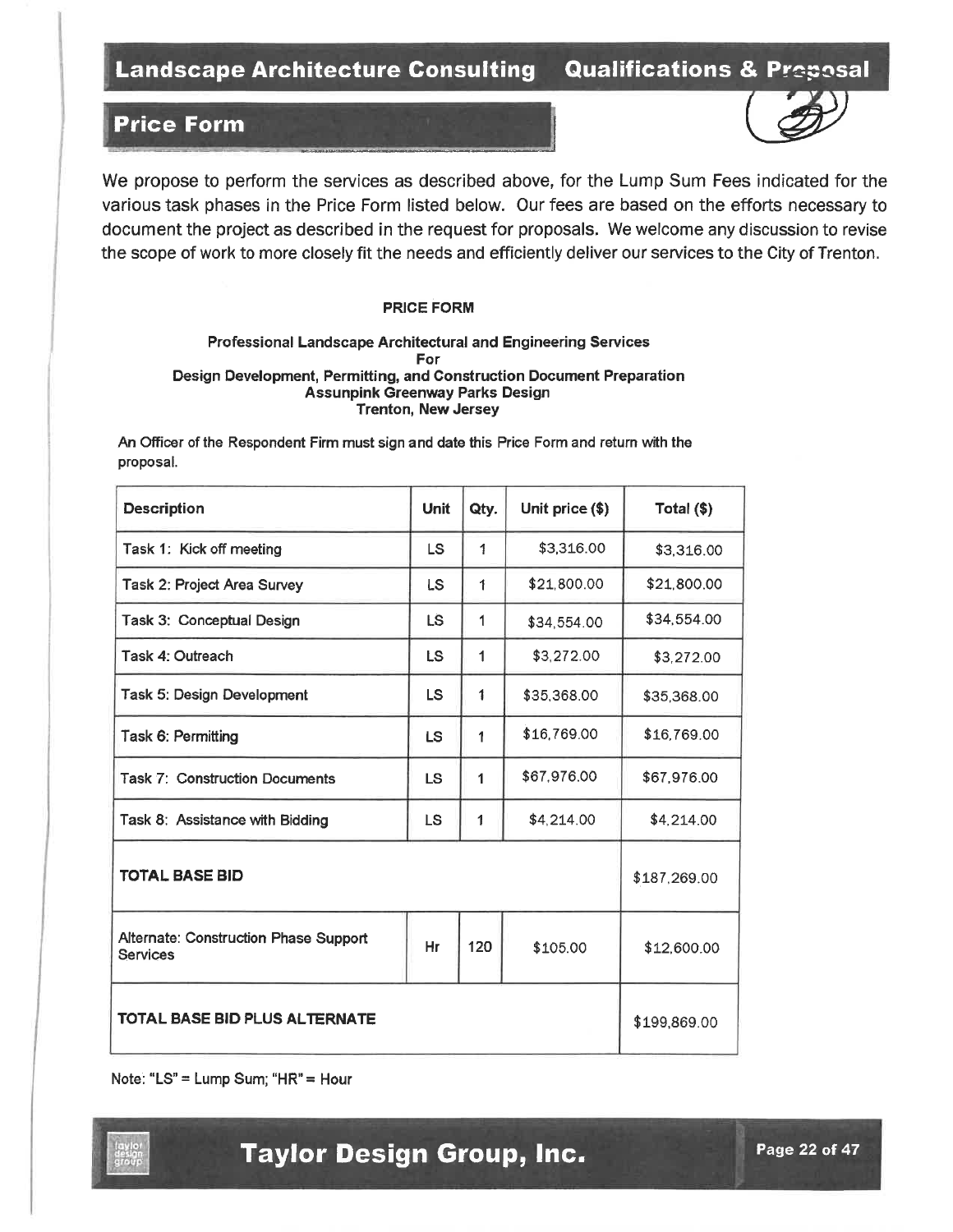# **Price Form**



#### **PRICE FORM**

#### Professional Landscape Architectural and Engineering Services For Design Development, Permitting, and Construction Document Preparation **Assunpink Greenway Parks Design Trenton, New Jersey**

An Officer of the Respondent Firm must sign and date this Price Form and return with the proposal.

| <b>Description</b>                                       | <b>Unit</b> | Qty. | Unit price (\$) | Total (\$)   |
|----------------------------------------------------------|-------------|------|-----------------|--------------|
| Task 1: Kick off meeting                                 | LS          | 1    | \$3,316.00      | \$3,316.00   |
| Task 2: Project Area Survey                              | LS          | 1    | \$21,800.00     | \$21,800.00  |
| Task 3: Conceptual Design                                | LS.         | 1    | \$34,554.00     | \$34,554.00  |
| Task 4: Outreach                                         | LS          | 1    | \$3,272.00      | \$3,272.00   |
| Task 5: Design Development                               | LS.         | 1    | \$35,368.00     | \$35,368.00  |
| Task 6: Permitting                                       | LS.         | 1    | \$16,769.00     | \$16,769.00  |
| <b>Task 7: Construction Documents</b>                    | <b>LS</b>   | 1    | \$67,976.00     | \$67,976.00  |
| Task 8: Assistance with Bidding                          | <b>LS</b>   | 1    | \$4,214.00      | \$4,214.00   |
| <b>TOTAL BASE BID</b>                                    |             |      |                 | \$187,269.00 |
| Alternate: Construction Phase Support<br><b>Services</b> | Hr          | 120  | \$105.00        | \$12,600.00  |
| <b>TOTAL BASE BID PLUS ALTERNATE</b>                     |             |      |                 | \$199,869.00 |

Note: "LS" = Lump Sum; "HR" = Hour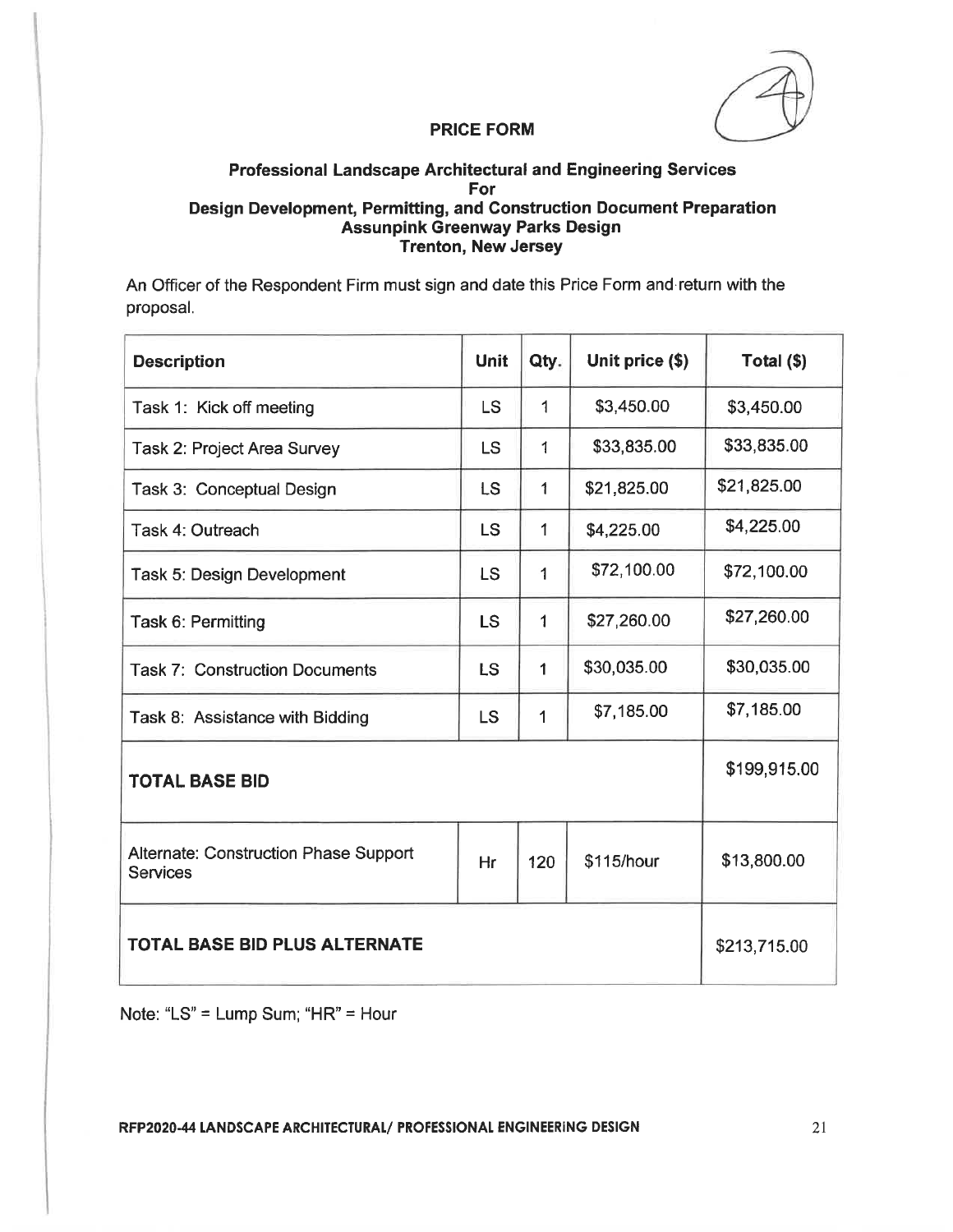# Professional Landscape Architectural and Engineering Services For Design Development, Permitting, and Construction Document Preparation Assunpink Greenway Parks Design **Trenton, New Jersey**

An Officer of the Respondent Firm must sign and date this Price Form and return with the proposal.

| <b>Description</b>                                       | <b>Unit</b> | Qty.         | Unit price (\$) | Total (\$)   |
|----------------------------------------------------------|-------------|--------------|-----------------|--------------|
| Task 1: Kick off meeting                                 | <b>LS</b>   | 1            | \$3,450.00      | \$3,450.00   |
| Task 2: Project Area Survey                              | <b>LS</b>   | 1            | \$33,835.00     | \$33,835.00  |
| Task 3: Conceptual Design                                | <b>LS</b>   | $\mathbf{1}$ | \$21,825.00     | \$21,825.00  |
| Task 4: Outreach                                         | <b>LS</b>   | $\mathbf{1}$ | \$4,225.00      | \$4,225.00   |
| Task 5: Design Development                               | <b>LS</b>   | 1            | \$72,100.00     | \$72,100.00  |
| Task 6: Permitting                                       | <b>LS</b>   | $\mathbf{1}$ | \$27,260.00     | \$27,260.00  |
| <b>Task 7: Construction Documents</b>                    | LS          | $\mathbf{1}$ | \$30,035.00     | \$30,035.00  |
| Task 8: Assistance with Bidding                          | <b>LS</b>   | 1            | \$7,185.00      | \$7,185.00   |
| <b>TOTAL BASE BID</b>                                    |             |              |                 | \$199,915.00 |
| Alternate: Construction Phase Support<br><b>Services</b> | Hr          | 120          | \$115/hour      | \$13,800.00  |
| <b>TOTAL BASE BID PLUS ALTERNATE</b>                     |             |              |                 | \$213,715.00 |

Note: "LS" = Lump Sum; "HR" = Hour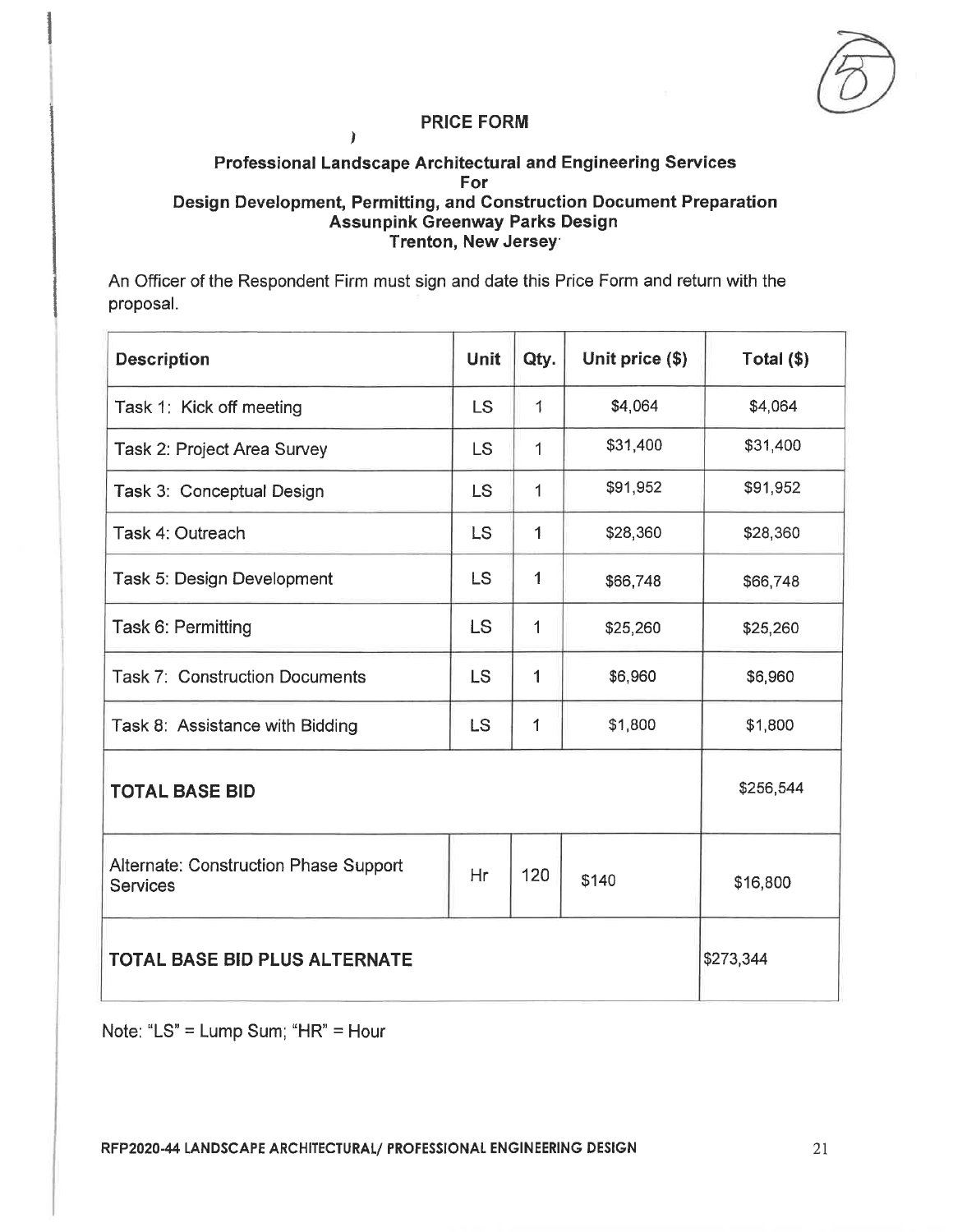$\lambda$ 

## **Professional Landscape Architectural and Engineering Services** For Design Development, Permitting, and Construction Document Preparation **Assunpink Greenway Parks Design** Trenton, New Jersey

An Officer of the Respondent Firm must sign and date this Price Form and return with the proposal.

| <b>Description</b>                                       | <b>Unit</b> | Qty. | Unit price (\$) | Total $(\$)$ |
|----------------------------------------------------------|-------------|------|-----------------|--------------|
| Task 1: Kick off meeting                                 | LS          | 1    | \$4,064         | \$4,064      |
| Task 2: Project Area Survey                              | <b>LS</b>   | 1    | \$31,400        | \$31,400     |
| Task 3: Conceptual Design                                | <b>LS</b>   | 1    | \$91,952        | \$91,952     |
| Task 4: Outreach                                         | <b>LS</b>   | 1    | \$28,360        | \$28,360     |
| Task 5: Design Development                               | LS          | 1    | \$66,748        | \$66,748     |
| Task 6: Permitting                                       | <b>LS</b>   | 1    | \$25,260        | \$25,260     |
| <b>Task 7: Construction Documents</b>                    | <b>LS</b>   | 1    | \$6,960         | \$6,960      |
| Task 8: Assistance with Bidding                          | <b>LS</b>   | 1    | \$1,800         | \$1,800      |
| <b>TOTAL BASE BID</b>                                    | \$256,544   |      |                 |              |
| Alternate: Construction Phase Support<br><b>Services</b> | Hr          | 120  | \$140           | \$16,800     |
| <b>TOTAL BASE BID PLUS ALTERNATE</b>                     | \$273,344   |      |                 |              |

Note: "LS" = Lump Sum; "HR" = Hour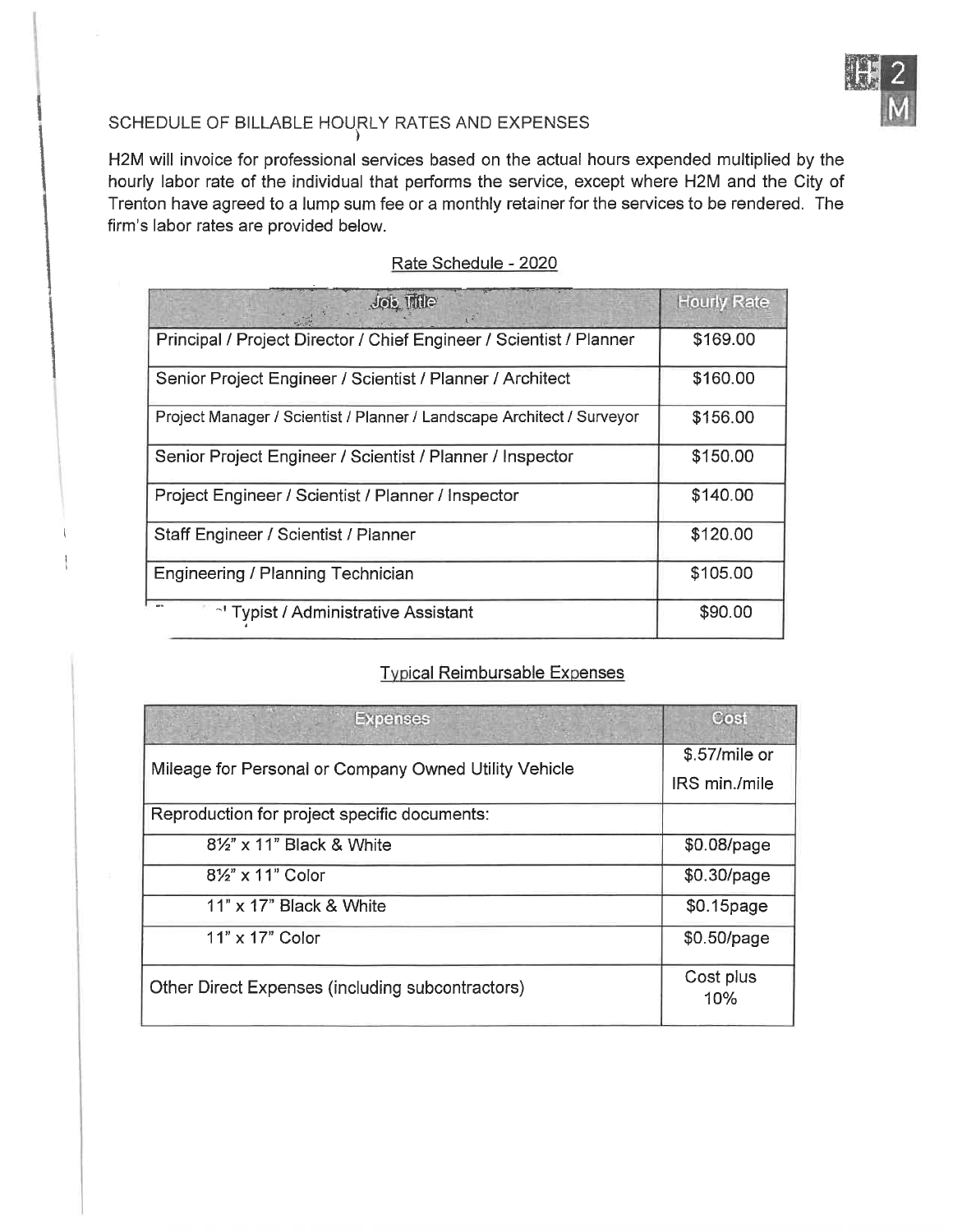

# SCHEDULE OF BILLABLE HOURLY RATES AND EXPENSES

H2M will invoice for professional services based on the actual hours expended multiplied by the hourly labor rate of the individual that performs the service, except where H2M and the City of Trenton have agreed to a lump sum fee or a monthly retainer for the services to be rendered. The firm's labor rates are provided below.

| Job Title                                                              | <b>Hourly Rate</b> |
|------------------------------------------------------------------------|--------------------|
| Principal / Project Director / Chief Engineer / Scientist / Planner    | \$169.00           |
| Senior Project Engineer / Scientist / Planner / Architect              | \$160.00           |
| Project Manager / Scientist / Planner / Landscape Architect / Surveyor | \$156.00           |
| Senior Project Engineer / Scientist / Planner / Inspector              | \$150.00           |
| Project Engineer / Scientist / Planner / Inspector                     | \$140.00           |
| Staff Engineer / Scientist / Planner                                   | \$120.00           |
| Engineering / Planning Technician                                      | \$105.00           |
| <sup>-</sup> Typist / Administrative Assistant                         | \$90.00            |

# Rate Schedule - 2020

# **Typical Reimbursable Expenses**

| <b>Expenses</b>                                       | Cost             |
|-------------------------------------------------------|------------------|
| Mileage for Personal or Company Owned Utility Vehicle | \$.57/mile or    |
|                                                       | IRS min./mile    |
| Reproduction for project specific documents:          |                  |
| 81/2" x 11" Black & White                             | \$0.08/page      |
| 81/2" x 11" Color                                     | \$0.30/page      |
| $11" \times 17"$ Black & White                        | \$0.15page       |
| $11" \times 17"$ Color                                | \$0.50/page      |
| Other Direct Expenses (including subcontractors)      | Cost plus<br>10% |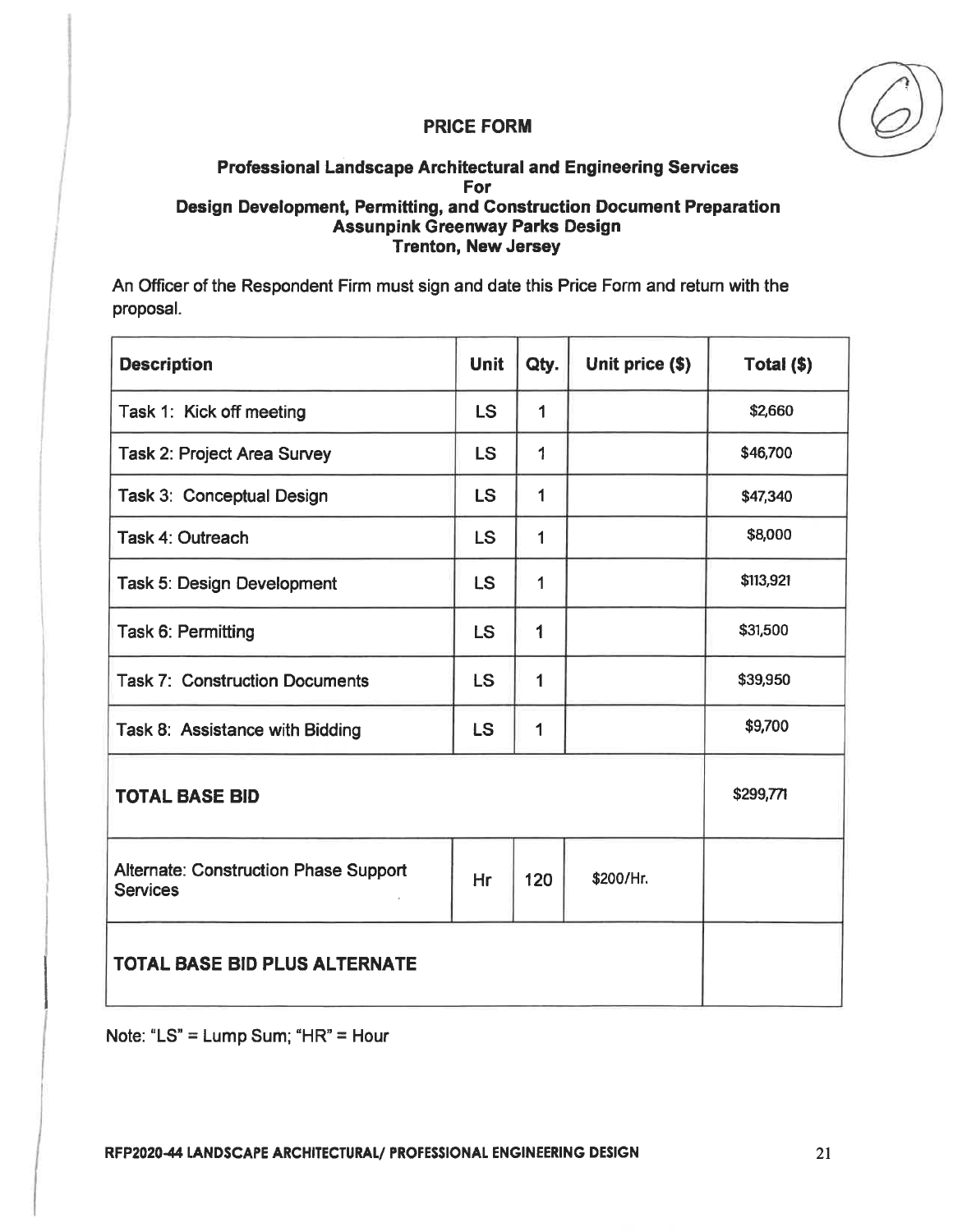# Professional Landscape Architectural and Engineering Services For Design Development, Permitting, and Construction Document Preparation **Assunpink Greenway Parks Design Trenton, New Jersey**

An Officer of the Respondent Firm must sign and date this Price Form and return with the proposal.

| <b>Description</b>                                              | <b>Unit</b> | Qty.           | Unit price (\$) | Total (\$) |
|-----------------------------------------------------------------|-------------|----------------|-----------------|------------|
| Task 1: Kick off meeting                                        | <b>LS</b>   | $\blacksquare$ |                 | \$2,660    |
| <b>Task 2: Project Area Survey</b>                              | <b>LS</b>   | 1              |                 | \$46,700   |
| Task 3: Conceptual Design                                       | <b>LS</b>   | 1              |                 | \$47,340   |
| Task 4: Outreach                                                | <b>LS</b>   | $\mathbf{1}$   |                 | \$8,000    |
| Task 5: Design Development                                      | <b>LS</b>   | $\mathbf{1}$   |                 | \$113,921  |
| Task 6: Permitting                                              | LS          | 1              |                 | \$31,500   |
| <b>Task 7: Construction Documents</b>                           | <b>LS</b>   | 1              |                 | \$39,950   |
| Task 8: Assistance with Bidding                                 | <b>LS</b>   | 1              |                 | \$9,700    |
| <b>TOTAL BASE BID</b>                                           |             |                |                 | \$299,771  |
| <b>Alternate: Construction Phase Support</b><br><b>Services</b> | Hr          | 120            | \$200/Hr.       |            |
| <b>TOTAL BASE BID PLUS ALTERNATE</b>                            |             |                |                 |            |

Note: "LS" = Lump Sum; "HR" = Hour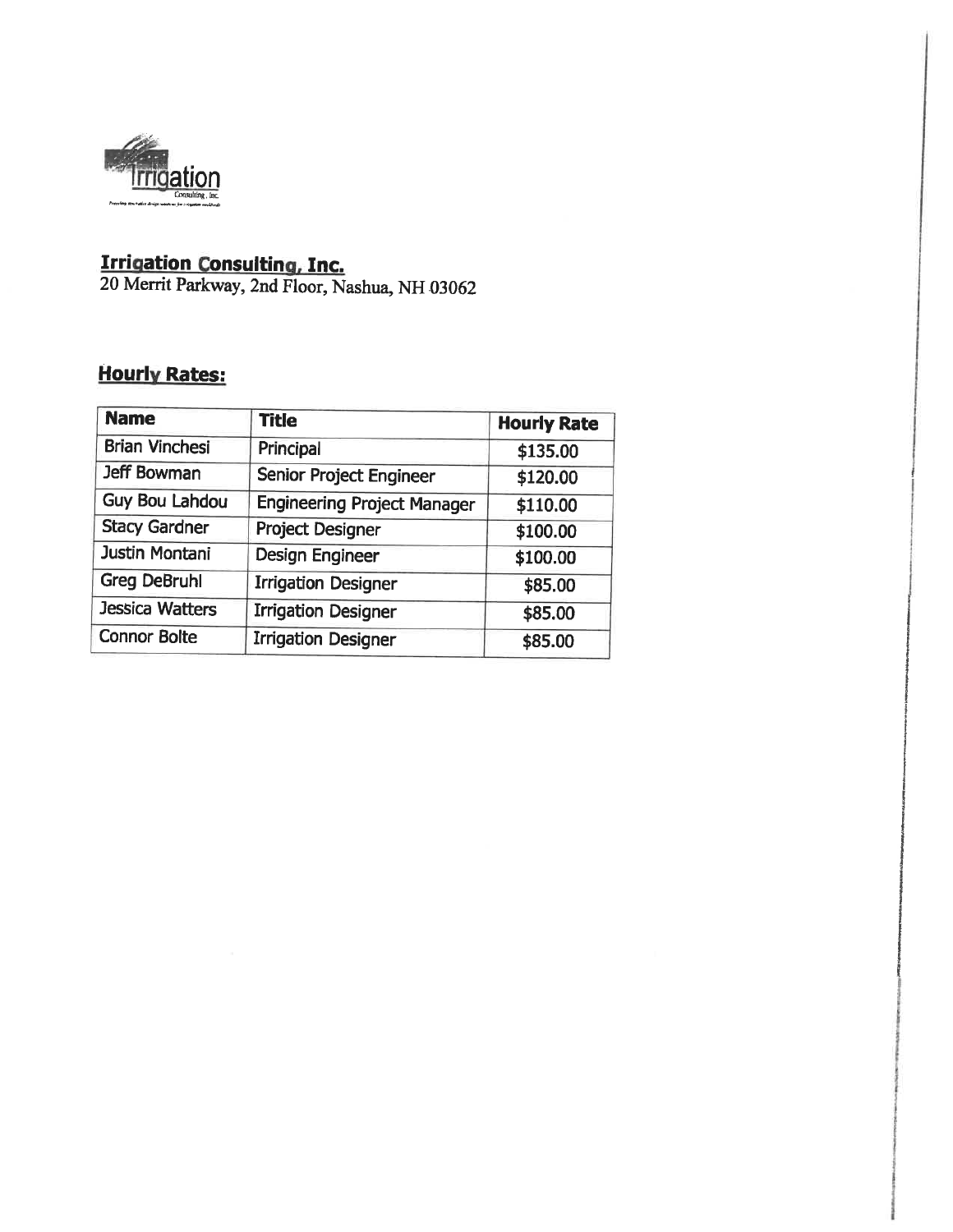

**Irrigation Consulting, Inc.**<br>20 Merrit Parkway, 2nd Floor, Nashua, NH 03062

# **Hourly Rates:**

| <b>Name</b>            | <b>Title</b>                       | <b>Hourly Rate</b> |
|------------------------|------------------------------------|--------------------|
| <b>Brian Vinchesi</b>  | Principal                          | \$135.00           |
| Jeff Bowman            | Senior Project Engineer            | \$120.00           |
| <b>Guy Bou Lahdou</b>  | <b>Engineering Project Manager</b> | \$110.00           |
| <b>Stacy Gardner</b>   | <b>Project Designer</b>            | \$100.00           |
| Justin Montani         | <b>Design Engineer</b>             | \$100.00           |
| <b>Greg DeBruhl</b>    | <b>Irrigation Designer</b>         | \$85.00            |
| <b>Jessica Watters</b> | <b>Irrigation Designer</b>         | \$85.00            |
| <b>Connor Bolte</b>    | <b>Irrigation Designer</b>         | \$85.00            |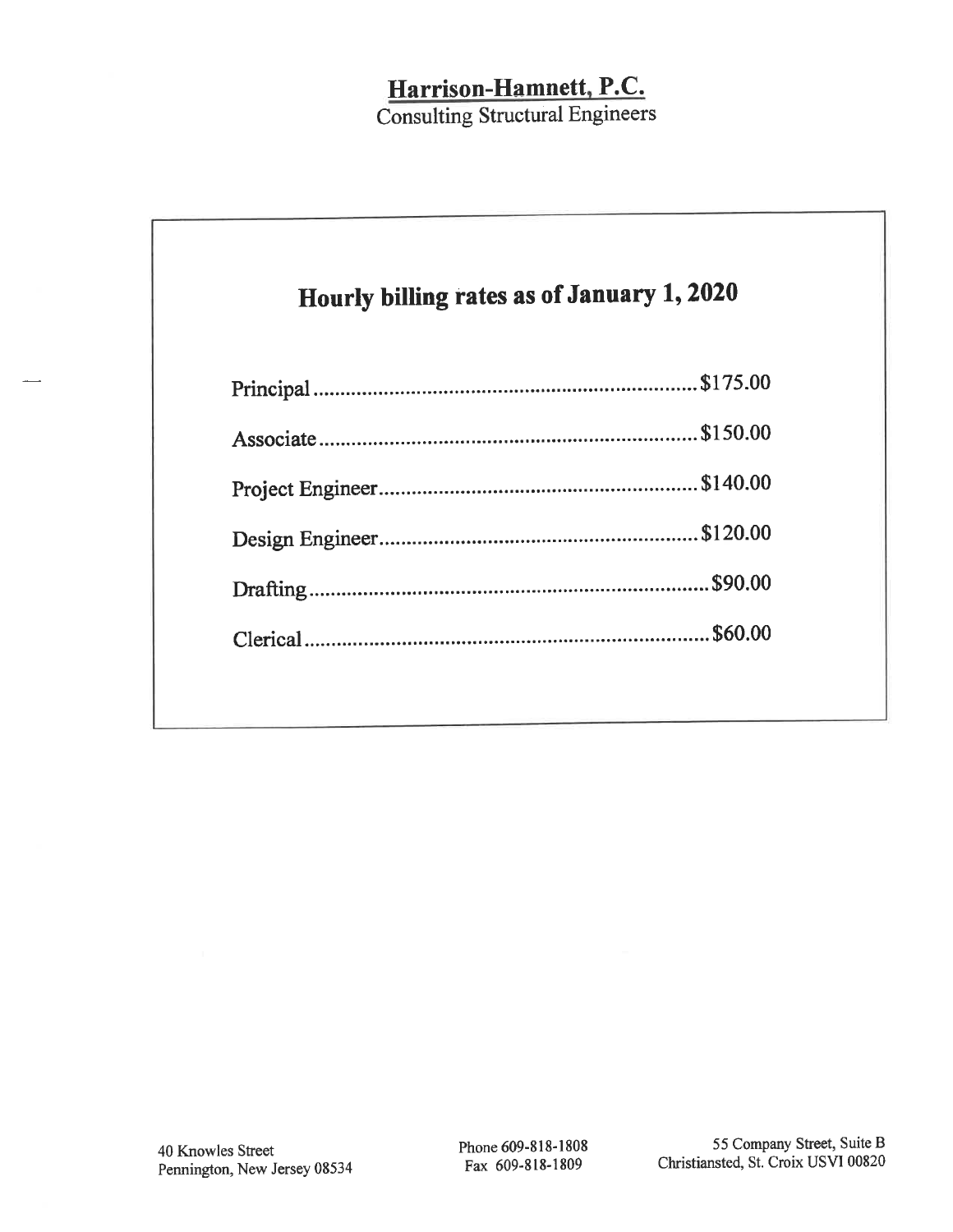# Harrison-Hamnett, P.C.

**Consulting Structural Engineers** 

# Hourly billing rates as of January 1, 2020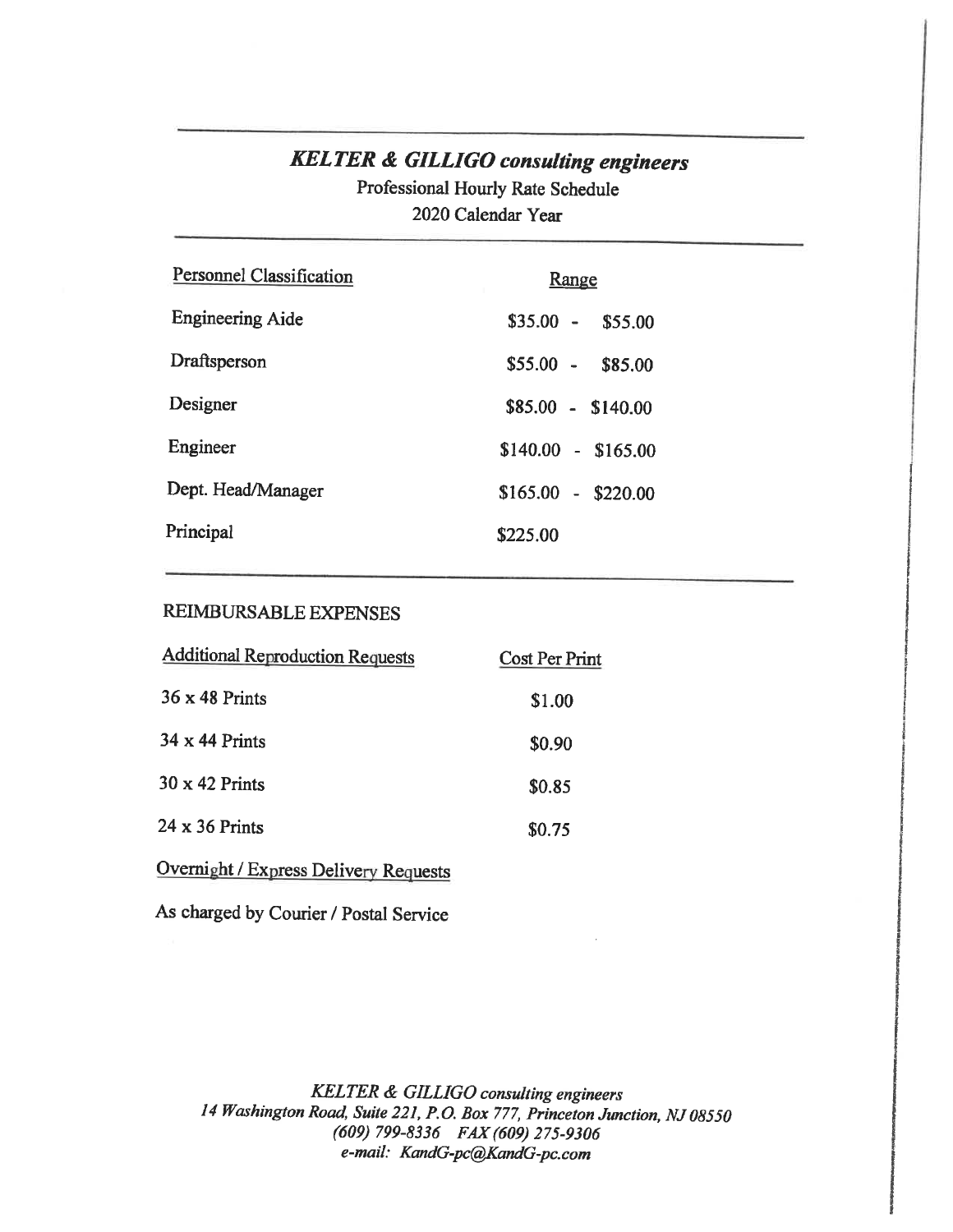# **KELTER & GILLIGO consulting engineers**

Professional Hourly Rate Schedule 2020 Calendar Year

| Personnel Classification | <b>Range</b>             |
|--------------------------|--------------------------|
| <b>Engineering Aide</b>  | $$35.00 -$<br>\$55.00    |
| Draftsperson             | $$55.00 -$<br>\$85.00    |
| Designer                 | $$85.00 - $140.00$       |
| Engineer                 | $$140.00 - $165.00$      |
| Dept. Head/Manager       | \$165.00<br>$-$ \$220.00 |
| Principal                | \$225.00                 |

# REIMBURSABLE EXPENSES

| <b>Additional Reproduction Requests</b> | Cost Per Print |
|-----------------------------------------|----------------|
| $36 \times 48$ Prints                   | \$1.00         |
| $34 \times 44$ Prints                   | \$0.90         |
| $30 \times 42$ Prints                   | \$0.85         |
| 24 x 36 Prints                          | \$0.75         |
|                                         |                |

Overnight / Express Delivery Requests

As charged by Courier / Postal Service

KELTER & GILLIGO consulting engineers 14 Washington Road, Suite 221, P.O. Box 777, Princeton Junction, NJ 08550 (609) 799-8336 FAX (609) 275-9306 e-mail: KandG-pc@KandG-pc.com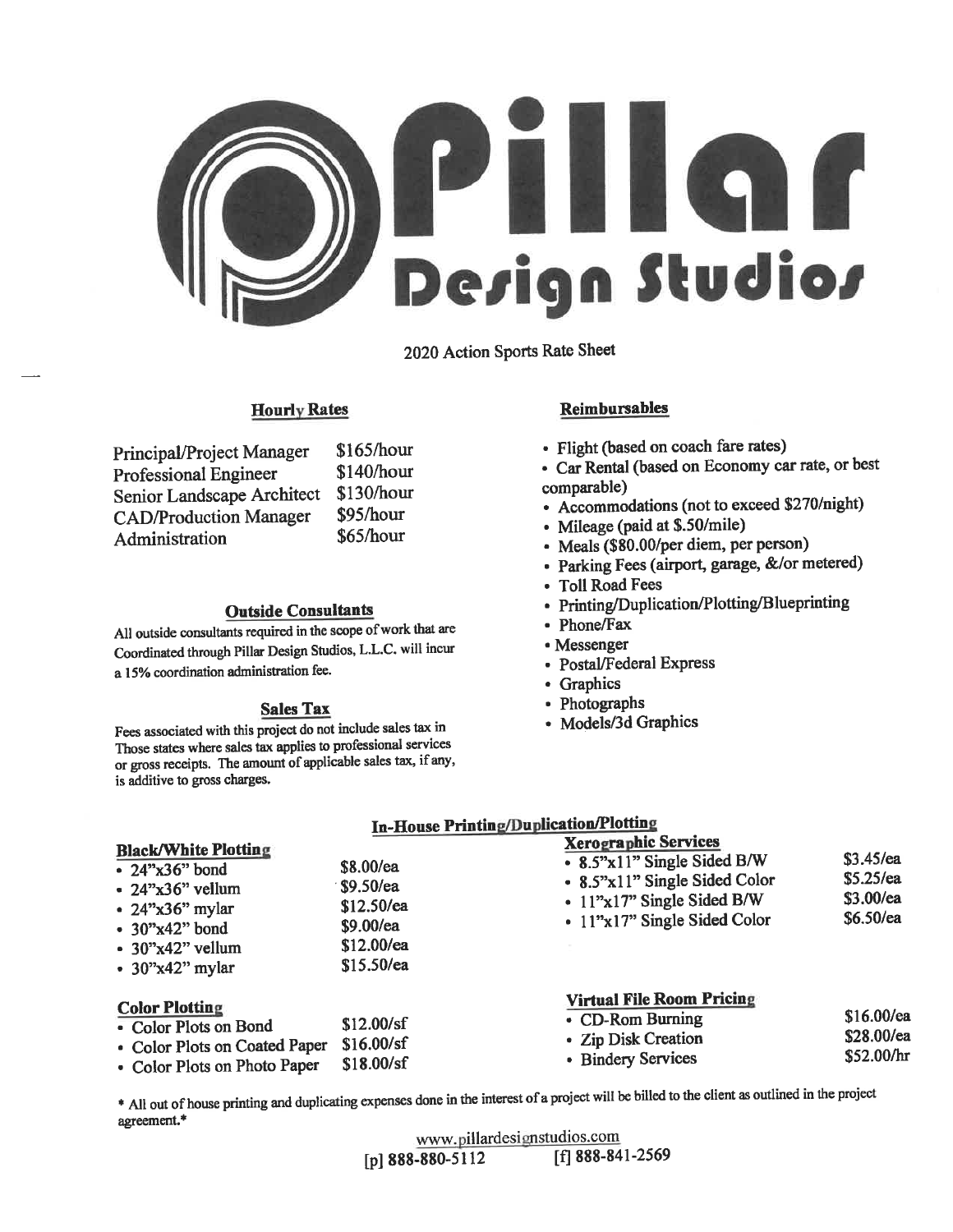

2020 Action Sports Rate Sheet

# **Hourly Rates**

| Principal/Project Manager     | \$165/hour |
|-------------------------------|------------|
| <b>Professional Engineer</b>  | \$140/hour |
| Senior Landscape Architect    | \$130/hour |
| <b>CAD/Production Manager</b> | \$95/hour  |
| Administration                | \$65/hour  |

#### **Outside Consultants**

All outside consultants required in the scope of work that are Coordinated through Pillar Design Studios, L.L.C. will incur a 15% coordination administration fee.

#### **Sales Tax**

Fees associated with this project do not include sales tax in Those states where sales tax applies to professional services or gross receipts. The amount of applicable sales tax, if any, is additive to gross charges.

#### **Reimbursables**

- Flight (based on coach fare rates)
- · Car Rental (based on Economy car rate, or best comparable)
- Accommodations (not to exceed \$270/night)
- Mileage (paid at \$.50/mile)
- Meals (\$80.00/per diem, per person)
- · Parking Fees (airport, garage, &/or metered)
- Toll Road Fees
- Printing/Duplication/Plotting/Blueprinting
- Phone/Fax
- Messenger
- Postal/Federal Express
- Graphics
- Photographs
- Models/3d Graphics

|                                                                                                                                                                                   | In-House Printing/Duplication/Pioling                                               |                                                                                                                                                                 |                                                          |
|-----------------------------------------------------------------------------------------------------------------------------------------------------------------------------------|-------------------------------------------------------------------------------------|-----------------------------------------------------------------------------------------------------------------------------------------------------------------|----------------------------------------------------------|
| <b>Black/White Plotting</b><br>$\cdot$ 24"x36" bond<br>$\cdot$ 24"x36" vellum<br>$\cdot$ 24"x36" mylar<br>$\cdot$ 30"x42" bond<br>$\cdot$ 30"x42" vellum<br>$\cdot$ 30"x42" mylar | $$8.00$ /ea<br>$$9.50$ /ea<br>\$12.50/ea<br>\$9.00/ea<br>\$12.00/ea<br>$$15.50$ /ea | <b>Xerographic Services</b><br>• 8.5"x11" Single Sided B/W<br>- 8.5"x11" Single Sided Color<br>$\cdot$ 11"x17" Single Sided B/W<br>• 11"x17" Single Sided Color | $$3.45$ /ea<br>$$5.25$ /ea<br>$$3.00$ /ea<br>$$6.50$ /ea |
| <b>Color Plotting</b><br>• Color Plots on Bond<br>• Color Plots on Coated Paper<br>• Color Plots on Photo Paper                                                                   | \$12.00/sf<br>\$16.00/sf<br>\$18.00/sf                                              | <b>Virtual File Room Pricing</b><br>• CD-Rom Burning<br>• Zip Disk Creation<br>• Bindery Services                                                               | $$16.00$ /ea<br>\$28.00/ea<br>\$52.00/hr                 |

\* All out of house printing and duplicating expenses done in the interest of a project will be billed to the client as outlined in the project agreement.\*

| www.pillardesignstudios.com |                  |
|-----------------------------|------------------|
| [p] 888-880-5112            | [f] 888-841-2569 |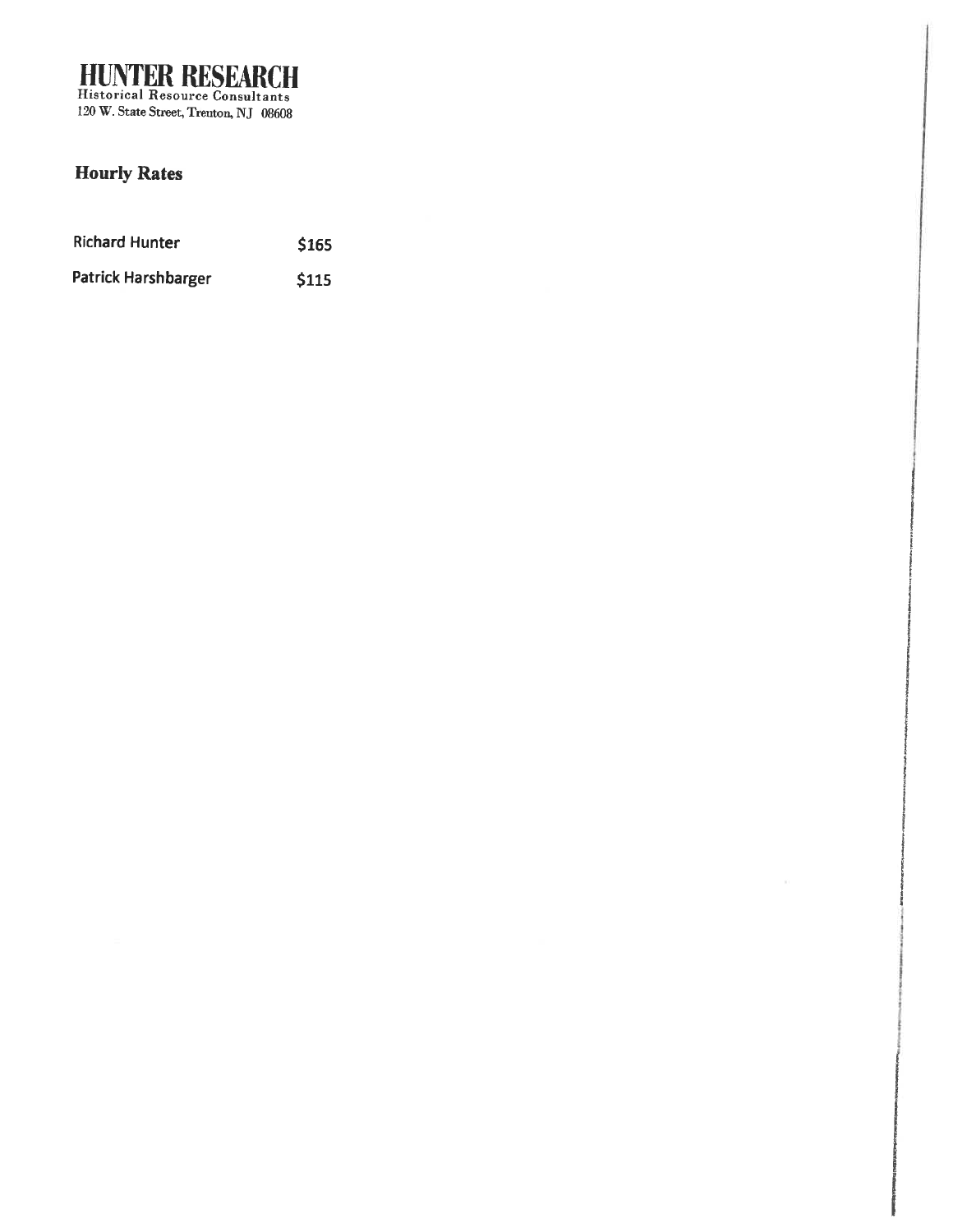**HUNTER RESEARCH**<br>Historical Resource Consultants<br>120 W. State Street, Treuton, NJ 08608

# **Hourly Rates**

| <b>Richard Hunter</b>      | \$165 |
|----------------------------|-------|
| <b>Patrick Harshbarger</b> | \$115 |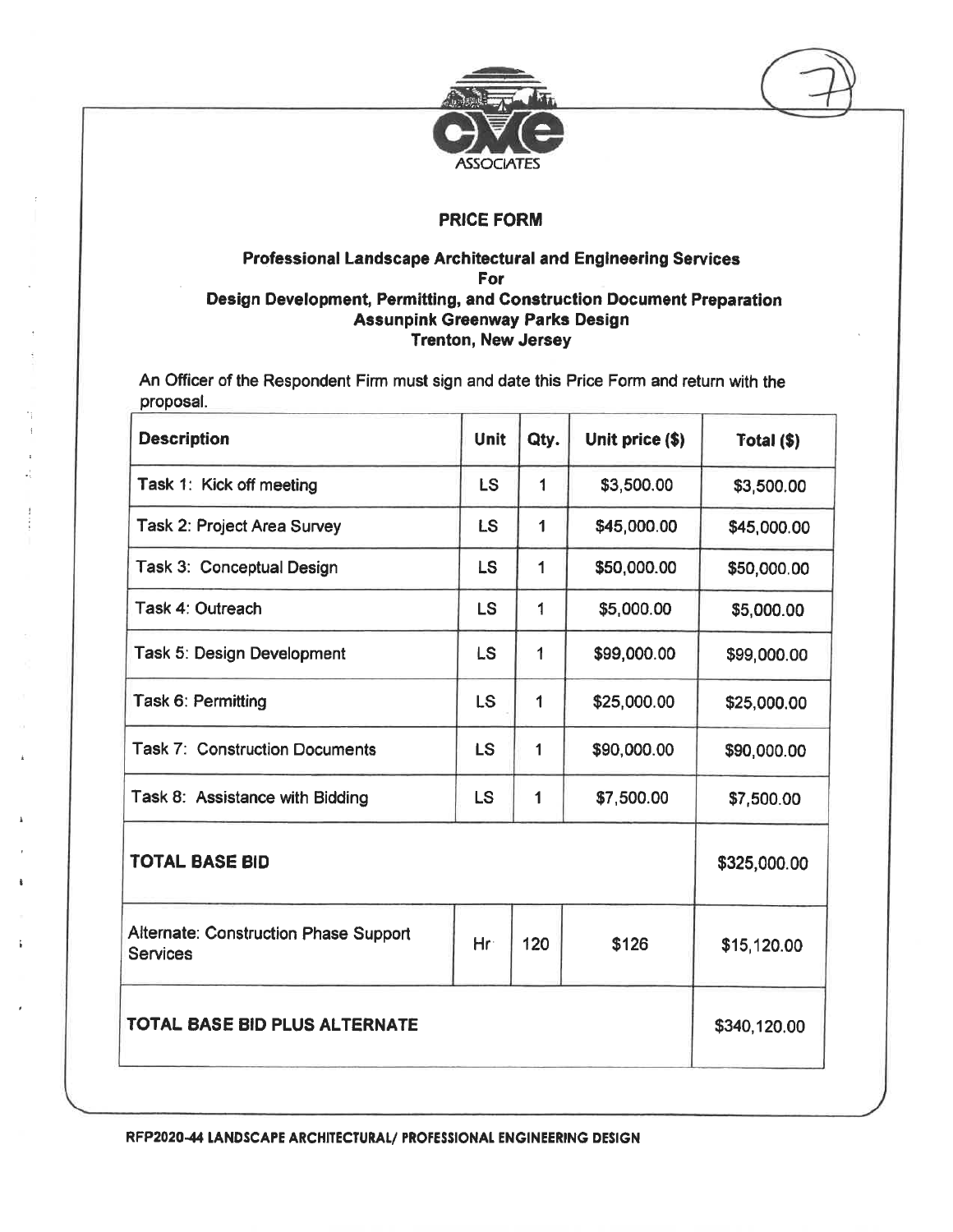

# Professional Landscape Architectural and Engineering Services For Design Development, Permitting, and Construction Document Preparation **Assunpink Greenway Parks Design Trenton, New Jersey**

An Officer of the Respondent Firm must sign and date this Price Form and return with the proposal.

| <b>Unit</b> | Qty.         | Unit price (\$) | Total (\$)   |
|-------------|--------------|-----------------|--------------|
| LS          | 1            | \$3,500.00      | \$3,500.00   |
| <b>LS</b>   | 1            | \$45,000.00     | \$45,000.00  |
| <b>LS</b>   | 1            | \$50,000.00     | \$50,000.00  |
| <b>LS</b>   | 1            | \$5,000.00      | \$5,000.00   |
| <b>LS</b>   | 1            | \$99,000.00     | \$99,000.00  |
| <b>LS</b>   | 1            | \$25,000.00     | \$25,000.00  |
| <b>LS</b>   | $\mathbf{1}$ | \$90,000.00     | \$90,000.00  |
| <b>LS</b>   | 1            | \$7,500.00      | \$7,500.00   |
|             |              |                 | \$325,000.00 |
| Hr          | 120          | \$126           | \$15,120.00  |
|             |              |                 | \$340,120.00 |
|             |              |                 |              |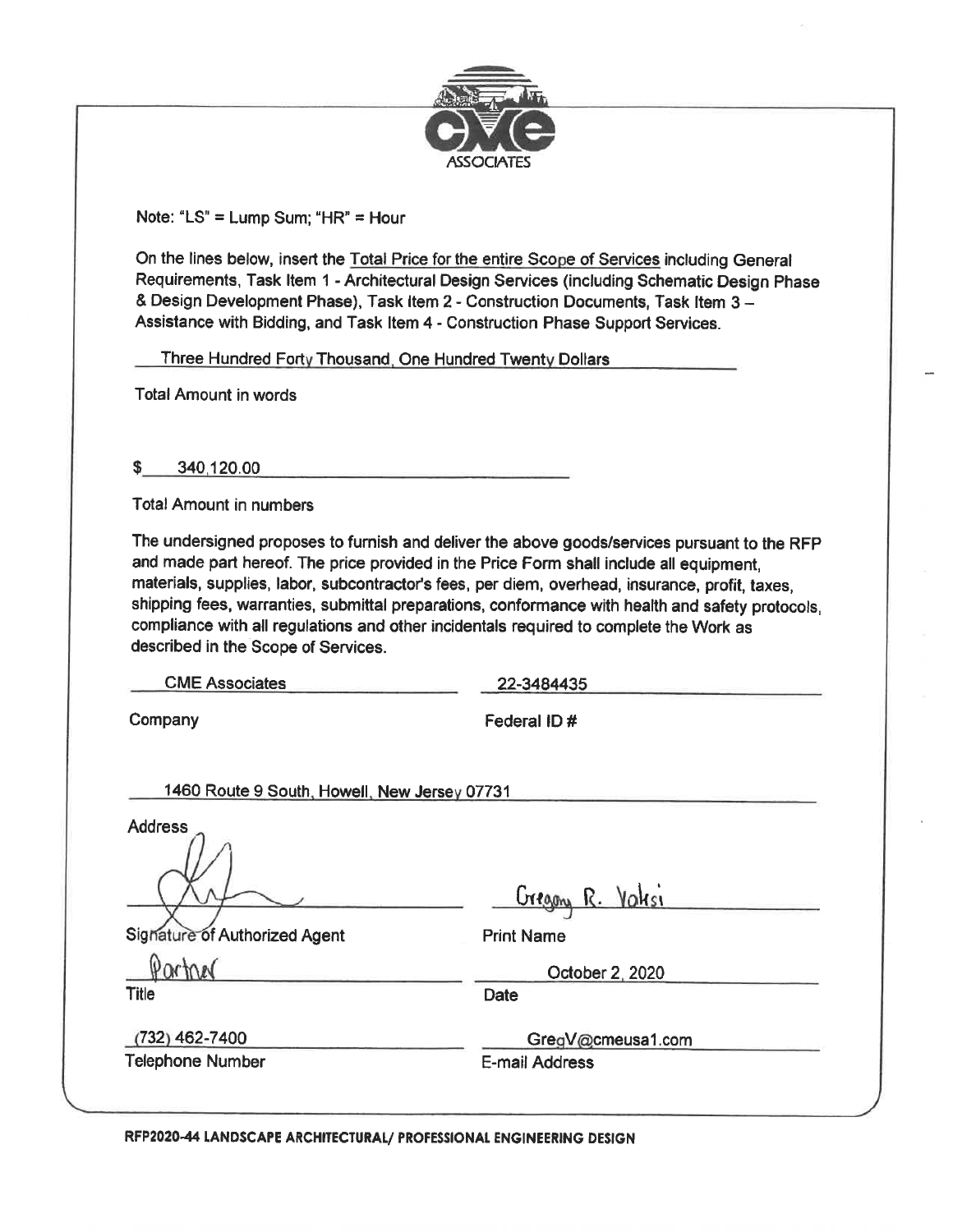

Note: "LS" = Lump Sum; "HR" = Hour

On the lines below, insert the Total Price for the entire Scope of Services including General Requirements, Task Item 1 - Architectural Design Services (including Schematic Design Phase & Design Development Phase), Task Item 2 - Construction Documents, Task Item 3 -Assistance with Bidding, and Task Item 4 - Construction Phase Support Services.

Three Hundred Forty Thousand, One Hundred Twenty Dollars

**Total Amount in words** 

\$ 340.120.00

**Total Amount in numbers** 

The undersigned proposes to furnish and deliver the above goods/services pursuant to the RFP and made part hereof. The price provided in the Price Form shall include all equipment, materials, supplies, labor, subcontractor's fees, per diem, overhead, insurance, profit, taxes, shipping fees, warranties, submittal preparations, conformance with health and safety protocols, compliance with all regulations and other incidentals required to complete the Work as described in the Scope of Services.

**CME Associates** 

22-3484435

Company

Federal ID#

1460 Route 9 South, Howell, New Jersey 07731

**Address** 

Signature of Authorized Agent

Gregory R. Valesi

**Print Name** 

**Date** 

October 2, 2020

 $(732)$  462-7400 **Telephone Number** 

Partner

**Title** 

GregV@cmeusa1.com

E-mail Address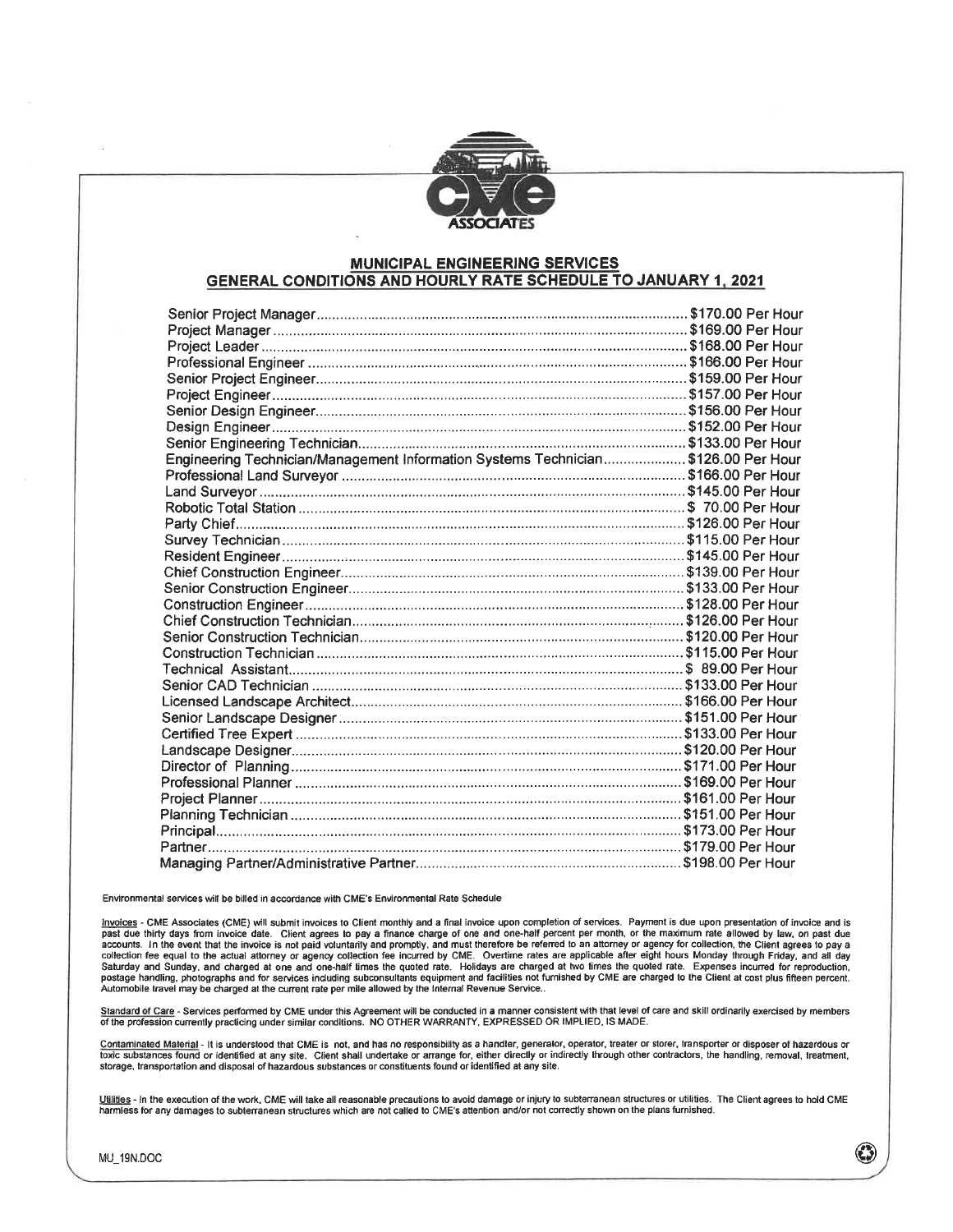

#### **MUNICIPAL ENGINEERING SERVICES GENERAL CONDITIONS AND HOURLY RATE SCHEDULE TO JANUARY 1, 2021**

| Engineering Technician/Management Information Systems Technician\$126.00 Per Hour |  |  |
|-----------------------------------------------------------------------------------|--|--|
|                                                                                   |  |  |
|                                                                                   |  |  |
|                                                                                   |  |  |
|                                                                                   |  |  |
|                                                                                   |  |  |
|                                                                                   |  |  |
|                                                                                   |  |  |
|                                                                                   |  |  |
|                                                                                   |  |  |
|                                                                                   |  |  |
|                                                                                   |  |  |
|                                                                                   |  |  |
|                                                                                   |  |  |
|                                                                                   |  |  |
|                                                                                   |  |  |
|                                                                                   |  |  |
|                                                                                   |  |  |
|                                                                                   |  |  |
|                                                                                   |  |  |
|                                                                                   |  |  |
|                                                                                   |  |  |
|                                                                                   |  |  |
|                                                                                   |  |  |
|                                                                                   |  |  |
|                                                                                   |  |  |
|                                                                                   |  |  |

Environmental services will be billed in accordance with CME's Environmental Rate Schedule

Invoices - CME Associates (CME) will submit invoices to Client monthly and a final invoice upon completion of services. Payment is due upon presentation of invoice and is<br>past due thirty days from invoice date. Client agre collection fee equal to the actual attorney or agency collection fee incurred by CME. Overtime rates are applicable after eight hours Monday through Friday, and all day<br>Saturday and Sunday, and charged at one and one-half postage handling, photographs and for services including subconsultants equipment and facilities not furnished by CME are charged to the Client at cost plus fifteen percent. Automobile travel may be charged at the current rate per mile allowed by the Internal Revenue Service..

Standard of Care - Services performed by CME under this Agreement will be conducted in a manner consistent with that level of care and skill ordinarily exercised by members of the profession currently practicing under similar conditions. NO OTHER WARRANTY, EXPRESSED OR IMPLIED, IS MADE.

Contaminated Material - It is understood that CME is not, and has no responsibility as a handler, generator, operator, treater or storer, transporter or disposer of hazardous or toxic substances found or identified at any site. Client shall undertake or arrange for, either directly or indirectly through other contractors, the handling, removal, treatment, storage, transportation and disposal of hazardous substances or constituents found or identified at any site.

Utilities - In the execution of the work, CME will take all reasonable precautions to avoid damage or injury to subterranean structures or utilities. The Client agrees to hold CME<br>harmless for any damages to subterranean s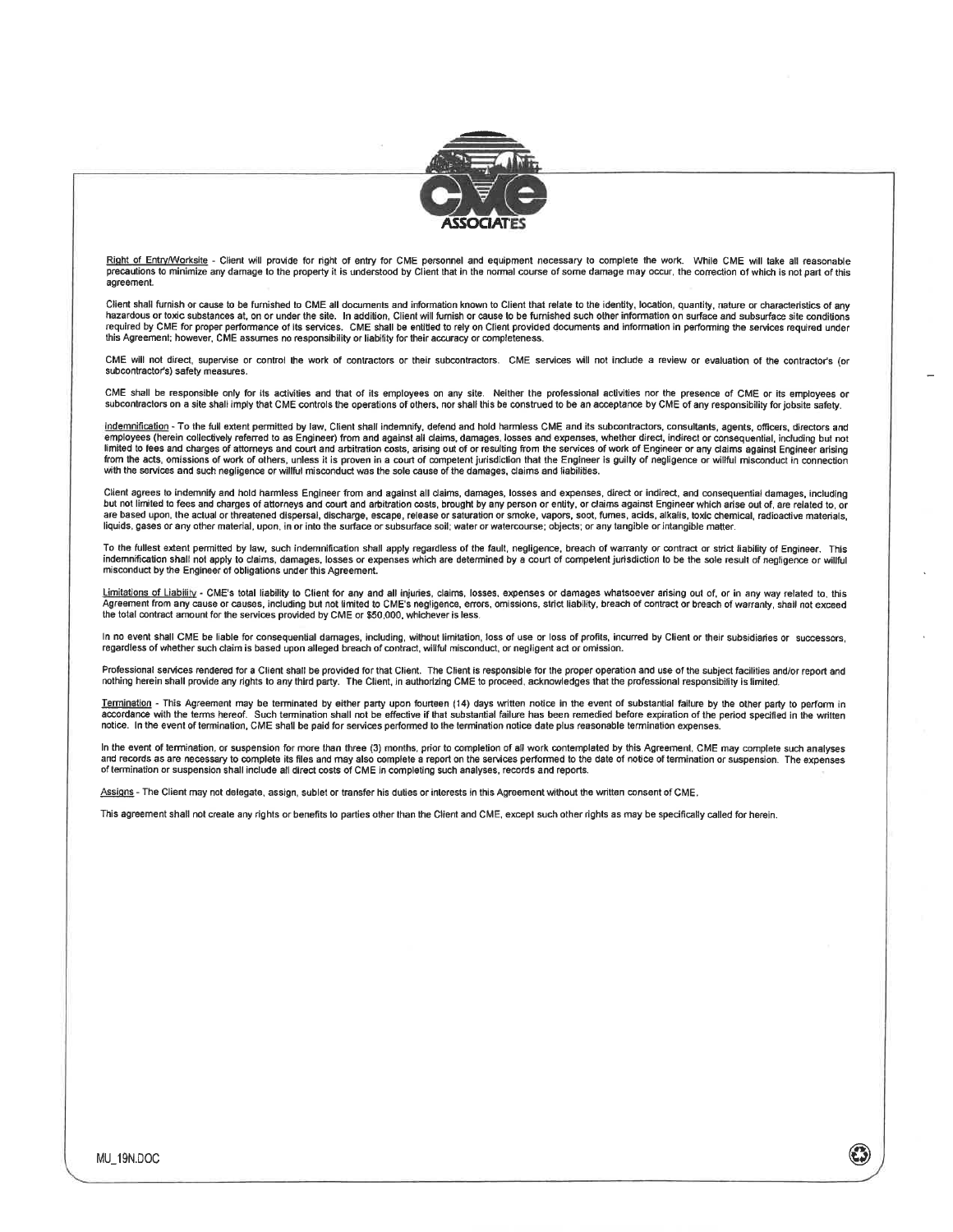

Right of Entry/Worksite - Client will provide for right of entry for CME personnel and equipment necessary to complete the work. While CME will take all reasonable precautions to minimize any damage to the property it is understood by Client that in the normal course of some damage may occur, the correction of which is not part of this agreement.

Client shall furnish or cause to be furnished to CME all documents and information known to Client that relate to the identity, location, quantity, nature or characteristics of any hazardous or toxic substances at, on or under the site. In addition, Client will furnish or cause to be furnished such other information on surface and subsurface site conditions required by CME for proper performance of its services. CME shall be entitled to rely on Client provided documents and information in performing the services required under this Agreement; however, CME assumes no responsibility or liability for their accuracy or completeness.

CME will not direct, supervise or control the work of contractors or their subcontractors. CME services will not include a review or evaluation of the contractor's (or subcontractor's) safety measures.

CME shall be responsible only for its activities and that of its employees on any site. Neither the professional activities nor the presence of CME or its employees or subcontractors on a site shall imply that CME controls

indemnification - To the full extent permitted by law, Client shall indemnify, defend and hold harmless CME and its subcontractors, consultants, agents, officers, directors and employees (herein collectively referred to as Engineer) from and against all claims, damages, losses and expenses, whether direct, indirect or consequential, including but not<br>limited to fees and charges of attorneys and c from the acts, omissions of work of others, unless it is proven in a court of competent jurisdiction that the Engineer is guilty of negligence or willful misconduct in connection with the services and such negligence or willful misconduct was the sole cause of the damages, claims and liabilities.

Client agrees to indemnify and hold harmless Engineer from and against all claims, damages, losses and expenses, direct or indirect, and consequential damages, including but not limited to fees and charges of attorneys and court and arbitration costs, brought by any person or entity, or claims against Engineer which arise out of, are related to, or<br>are based upon, the actual or threatened liquids, gases or any other material, upon, in or into the surface or subsurface soil; water or watercourse; objects; or any tangible or intangible matter

To the fullest extent permitted by law, such indemnification shall apply regardless of the fault, negligence, breach of warranty or contract or strict liability of Engineer. This<br>indemnification shall not apply to claims, misconduct by the Engineer of obligations under this Agreement.

Limitations of Liability - CME's total liability to Client for any and all injuries, claims, losses, expenses or damages whatsoever arising out of, or in any way related to, this Agreement from any cause or causes, including but not limited to CME's negligence, errors, omissions, strict liability, breach of contract or breach of warranty, shall not exceed the total contract amount for the services provided by CME or \$50,000, whichever is less.

In no event shall CME be liable for consequential damages, including, without limitation, loss of use or loss of profits, incurred by Client or their subsidiaries or successors, regardless of whether such claim is based upon alleged breach of contract, willful misconduct, or negligent act or omission.

Professional services rendered for a Client shall be provided for that Client. The Client is responsible for the proper operation and use of the subject facilities and/or report and nothing herein shall provide any rights to any third party. The Client, in authorizing CME to proceed, acknowledges that the professional responsibility is limited.

Termination - This Agreement may be terminated by either party upon fourteen (14) days written notice in the event of substantial failure by the other party to perform in accordance with the terms hereof. Such termination shall not be effective if that substantial failure has been remedied before expiration of the period specified in the written notice. In the event of termination, CME shall be paid for services performed to the termination notice date plus reasonable termination expenses.

In the event of termination, or suspension for more than three (3) months, prior to completion of all work contemplated by this Agreement, CME may complete such analyses and records as are necessary to complete its files and may also complete a report on the services performed to the date of notice of termination or suspension. The expenses of termination or suspension. The expenses

Assigns - The Client may not delegate, assign, sublet or transfer his duties or interests in this Agreement without the written consent of CME.

This agreement shall not create any rights or benefits to parties other than the Client and CME, except such other rights as may be specifically called for herein.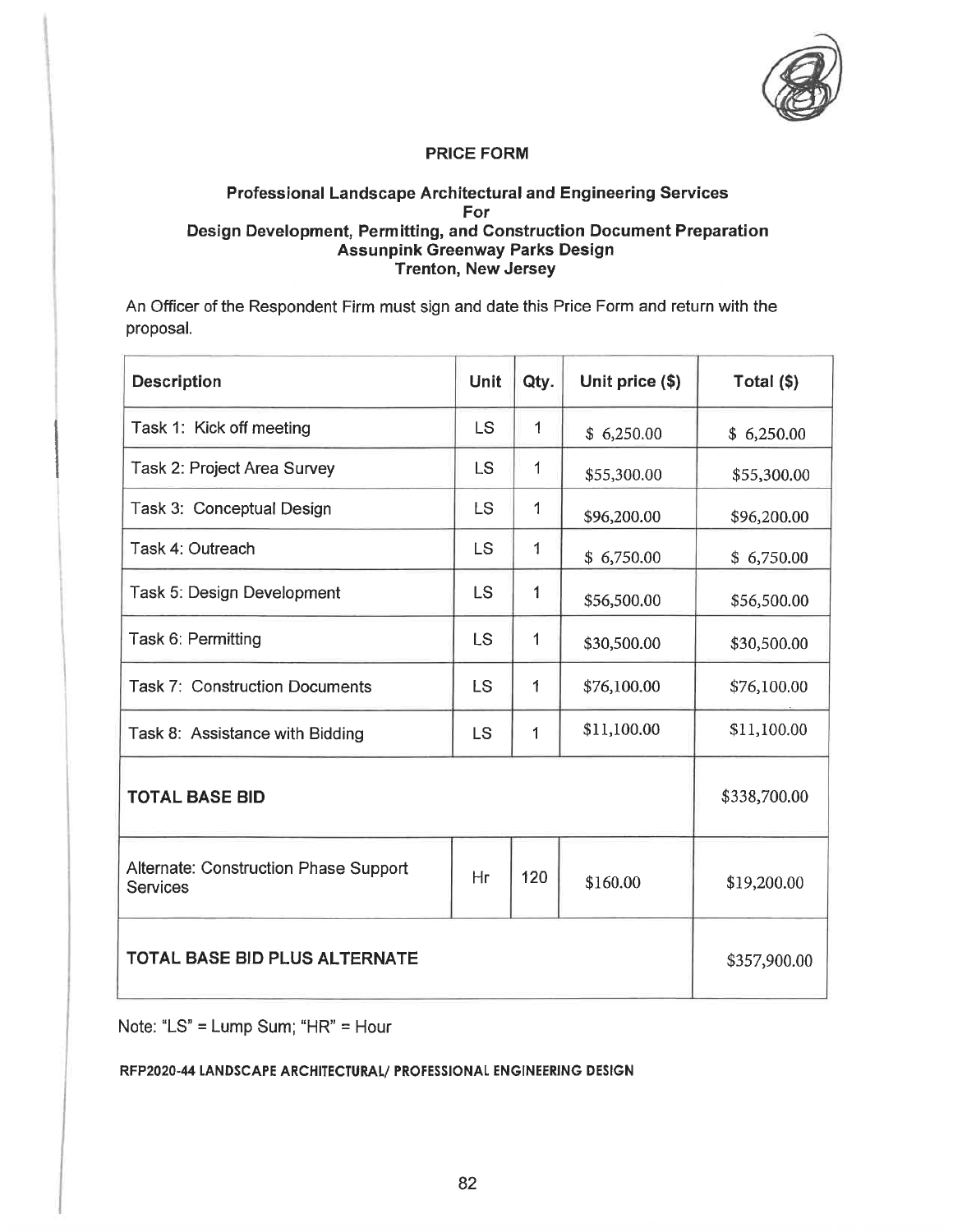

# Professional Landscape Architectural and Engineering Services For Design Development, Permitting, and Construction Document Preparation **Assunpink Greenway Parks Design<br>Trenton, New Jersey**

An Officer of the Respondent Firm must sign and date this Price Form and return with the proposal.

| <b>Description</b>                                | <b>Unit</b> | Qty.         | Unit price (\$) | Total $(\$)$ |
|---------------------------------------------------|-------------|--------------|-----------------|--------------|
| Task 1: Kick off meeting                          | <b>LS</b>   | 1            | \$6,250.00      | \$6,250.00   |
| Task 2: Project Area Survey                       | <b>LS</b>   | $\mathbf{1}$ | \$55,300.00     | \$55,300.00  |
| Task 3: Conceptual Design                         | LS          | $\mathbf 1$  | \$96,200.00     | \$96,200.00  |
| Task 4: Outreach                                  | LS          | $\mathbf{1}$ | \$6,750.00      | \$6,750.00   |
| Task 5: Design Development                        | <b>LS</b>   | 1            | \$56,500.00     | \$56,500.00  |
| Task 6: Permitting                                | LS          | 1            | \$30,500.00     | \$30,500.00  |
| <b>Task 7: Construction Documents</b>             | <b>LS</b>   | 1            | \$76,100.00     | \$76,100.00  |
| Task 8: Assistance with Bidding                   | <b>LS</b>   | 1            | \$11,100.00     | \$11,100.00  |
| <b>TOTAL BASE BID</b>                             |             |              |                 | \$338,700.00 |
| Alternate: Construction Phase Support<br>Services | Hr          | 120          | \$160.00        | \$19,200.00  |
| TOTAL BASE BID PLUS ALTERNATE                     |             |              |                 | \$357,900.00 |

Note: "LS" = Lump Sum; "HR" = Hour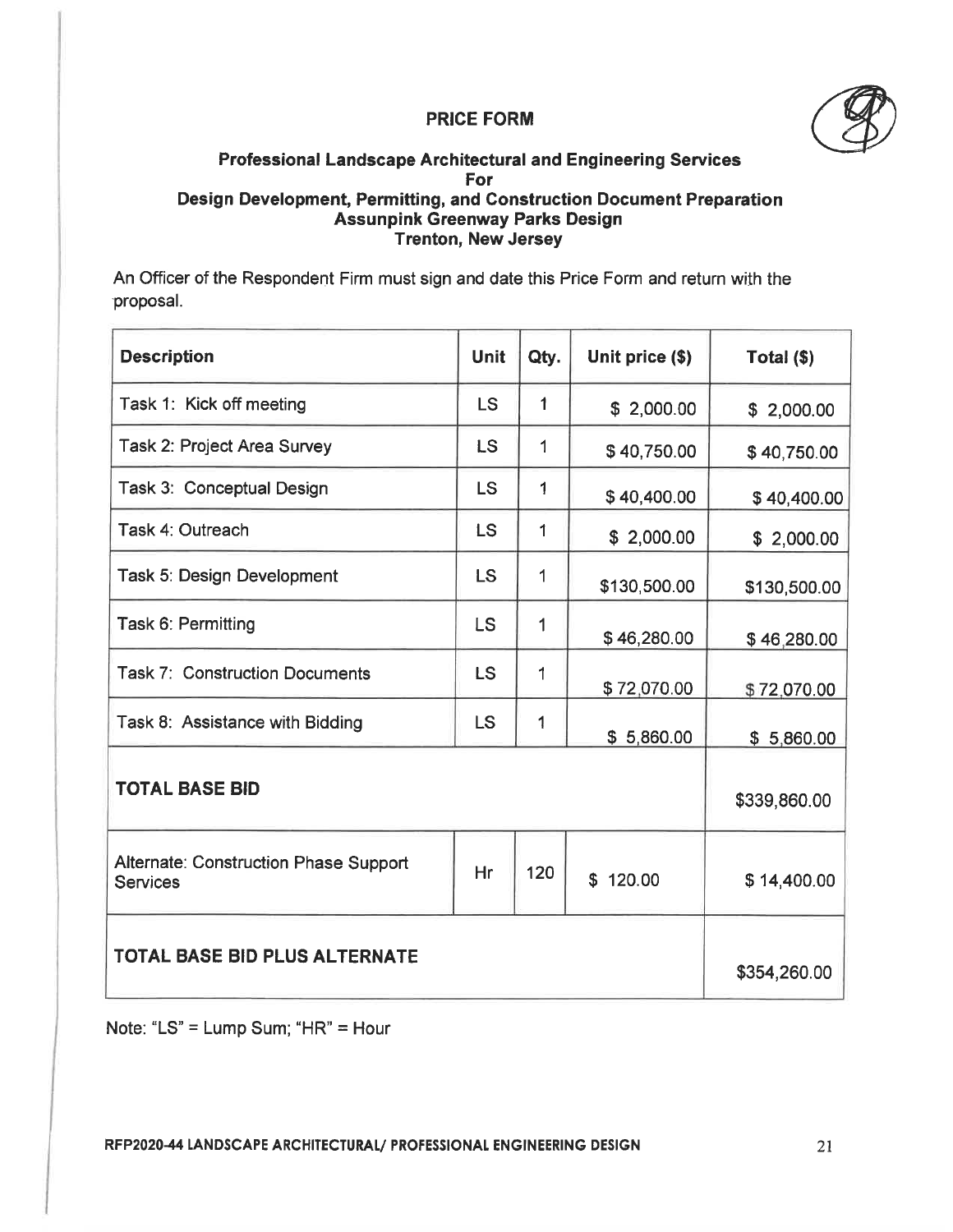

# Professional Landscape Architectural and Engineering Services For Design Development, Permitting, and Construction Document Preparation Assunpink Greenway Parks Design Trenton, New Jersey

An Officer of the Respondent Firm must sign and date this Price Form and return with the proposal.

| <b>Description</b>                                              | <b>Unit</b> | Qty.        | Unit price (\$) | Total $(\$)$ |
|-----------------------------------------------------------------|-------------|-------------|-----------------|--------------|
| Task 1: Kick off meeting                                        | <b>LS</b>   | 1           | \$2,000.00      | \$2,000.00   |
| Task 2: Project Area Survey                                     | <b>LS</b>   | 1           | \$40,750.00     | \$40,750.00  |
| Task 3: Conceptual Design                                       | <b>LS</b>   | 1           | \$40,400.00     | \$40,400.00  |
| Task 4: Outreach                                                | <b>LS</b>   | $\mathbf 1$ | \$2,000.00      | \$2,000.00   |
| Task 5: Design Development                                      | <b>LS</b>   | 1           | \$130,500.00    | \$130,500.00 |
| Task 6: Permitting                                              | LS          | $\mathbf 1$ | \$46,280.00     | \$46,280.00  |
| <b>Task 7: Construction Documents</b>                           | <b>LS</b>   | 1           | \$72,070.00     | \$72,070.00  |
| Task 8: Assistance with Bidding                                 | <b>LS</b>   | 1           | \$5,860.00      | \$5,860.00   |
| <b>TOTAL BASE BID</b>                                           |             |             | \$339,860.00    |              |
| <b>Alternate: Construction Phase Support</b><br><b>Services</b> | Hr          | 120         | \$120.00        | \$14,400.00  |
| <b>TOTAL BASE BID PLUS ALTERNATE</b>                            |             |             |                 | \$354,260.00 |

Note: "LS" = Lump Sum; "HR" = Hour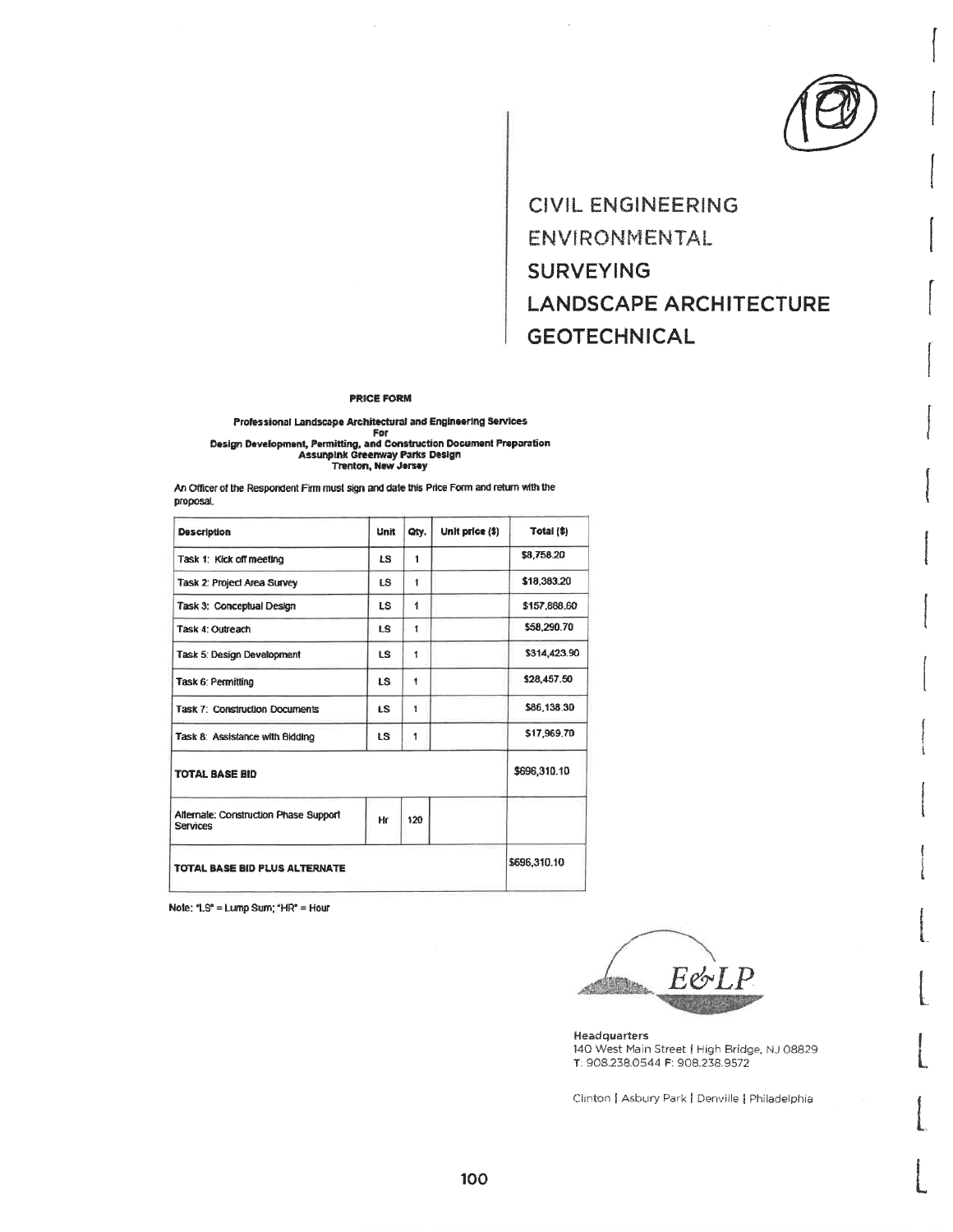**CIVIL ENGINEERING** ENVIRONMENTAL **SURVEYING LANDSCAPE ARCHITECTURE GEOTECHNICAL** 

#### **PRICE FORM**

# Professional Landscape Architectural and Engineering Services For

An Officer of the Respondent Firm must sign and date this Price Form and return with the proposal.

| <b>Description</b>                                       | Unit      | Qty.         | Unit price (\$) | Total (\$)   |
|----------------------------------------------------------|-----------|--------------|-----------------|--------------|
| Task 1: Kick off meeting                                 | LS.       | 1            |                 | \$8,758.20   |
| Task 2: Project Area Survey                              | <b>LS</b> | 1            |                 | \$18,383.20  |
| Task 3: Conceptual Design                                | <b>LS</b> | 1            |                 | \$157,888,60 |
| Task 4: Outreach                                         | t.S       | $\mathbf{I}$ |                 | \$58,290.70  |
| Task 5: Design Development                               | TS.       | $\ddagger$   |                 | \$314,423.90 |
| Task 6: Permitting                                       | IS.       | 1            |                 | \$28,457.50  |
| <b>Task 7: Construction Documents</b>                    | LS.       | 1            |                 | \$86,138.30  |
| Task 8: Assistance with Bidding                          | <b>LS</b> | 1            |                 | \$17,969.70  |
| <b>TOTAL BASE BID</b>                                    |           |              |                 | \$696,310.10 |
| Alternate: Construction Phase Support<br><b>Services</b> | Hr        | 120          |                 |              |
| TOTAL BASE BID PLUS ALTERNATE                            |           |              |                 | \$696,310.10 |

Note: "LS" = Lump Sum; "HR" = Hour

 $F$ ol

**Headquarters** 140 West Main Street | High Bridge, NJ 08829 T: 908.238.0544 F: 908.238.9572

Clinton | Asbury Park | Denville | Philadelphia